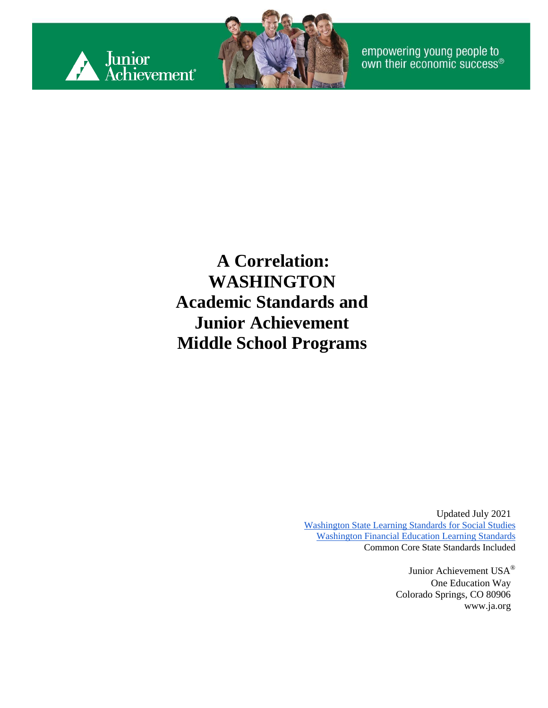



empowering young people to<br>own their economic success®

#### **A Correlation: WASHINGTON Academic Standards and Junior Achievement Middle School Programs**

Updated July 2021 [Washington State Learning Standards for Social Studies](https://www.k12.wa.us/sites/default/files/public/socialstudies/standards/OSPI_SocStudies_Standards_2019.pdf) [Washington Financial Education Learning Standards](https://www.k12.wa.us/sites/default/files/public/curriculuminstruct/financialeducation/pubdocs/fek-12learningstandardsoct2016.pdf) Common Core State Standards Included

> Junior Achievement USA® One Education Way Colorado Springs, CO 80906 [www.ja.org](http://www.ja.org/)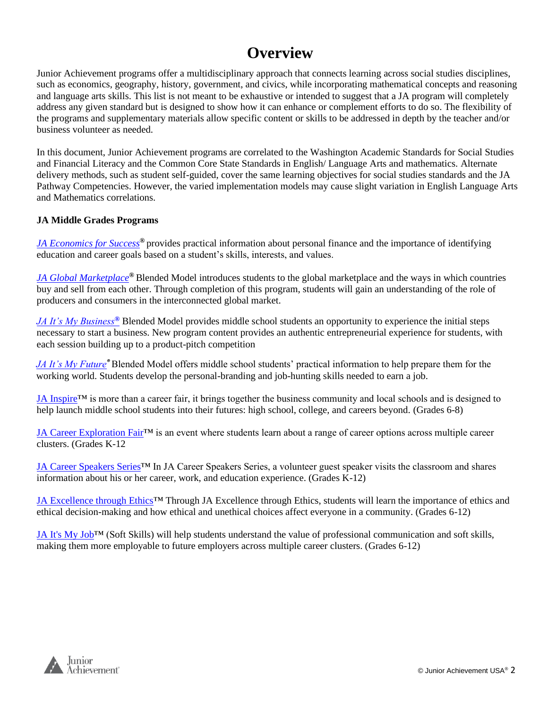#### **Overview**

Junior Achievement programs offer a multidisciplinary approach that connects learning across social studies disciplines, such as economics, geography, history, government, and civics, while incorporating mathematical concepts and reasoning and language arts skills. This list is not meant to be exhaustive or intended to suggest that a JA program will completely address any given standard but is designed to show how it can enhance or complement efforts to do so. The flexibility of the programs and supplementary materials allow specific content or skills to be addressed in depth by the teacher and/or business volunteer as needed.

In this document, Junior Achievement programs are correlated to the Washington Academic Standards for Social Studies and Financial Literacy and the Common Core State Standards in English/ Language Arts and mathematics. Alternate delivery methods, such as student self-guided, cover the same learning objectives for social studies standards and the JA Pathway Competencies. However, the varied implementation models may cause slight variation in English Language Arts and Mathematics correlations.

#### **JA Middle Grades Programs**

*[JA Economics for Success](#page-2-0)®* provides practical information about personal finance and the importance of identifying education and career goals based on a student's skills, interests, and values.

*[JA Global Marketplace](#page-6-0)®* Blended Model introduces students to the global marketplace and the ways in which countries buy and sell from each other. Through completion of this program, students will gain an understanding of the role of producers and consumers in the interconnected global market.

*[JA It's My Business](#page-11-0)[®](#page-11-0)* Blended Model provides middle school students an opportunity to experience the initial steps necessary to start a business. New program content provides an authentic entrepreneurial experience for students, with each session building up to a product-pitch competition

*[JA It's My Future](#page-14-0)®* Blended Model offers middle school students' practical information to help prepare them for the working world. Students develop the personal-branding and job-hunting skills needed to earn a job.

JA Inspire<sup>TM</sup> is more than a career fair, it brings together the business community and local schools and is designed to help launch middle school students into their futures: high school, college, and careers beyond. (Grades 6-8)

[JA Career Exploration Fair™](#page-19-0) is an event where students learn about a range of career options across multiple career clusters. (Grades K-12

[JA Career Speakers Series™](#page-21-0) In JA Career Speakers Series, a volunteer guest speaker visits the classroom and shares information about his or her career, work, and education experience. (Grades K-12)

JA Excellence through Ethics™ Through JA Excellence through Ethics, students will learn the importance of ethics and ethical decision-making and how ethical and unethical choices affect everyone in a community. (Grades 6-12)

[JA It's My Job™](#page-23-0) (Soft Skills) will help students understand the value of professional communication and soft skills, making them more employable to future employers across multiple career clusters. (Grades 6-12)

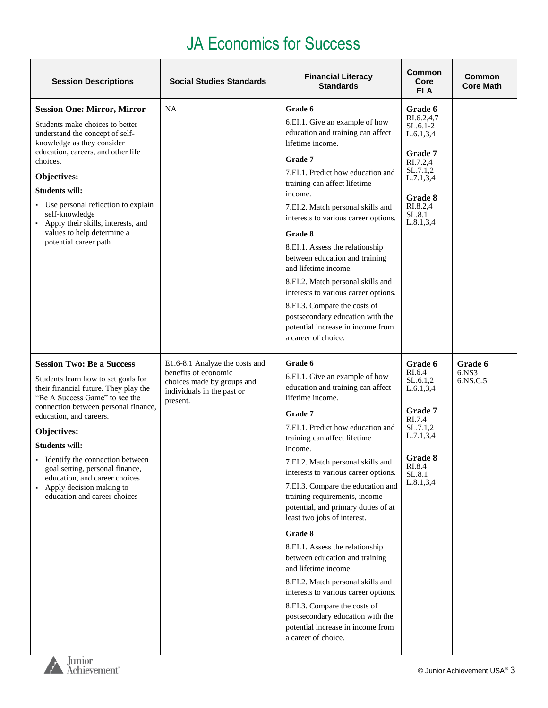<span id="page-2-0"></span>

| <b>Session Descriptions</b>                                                                                                                                                                                                                                                                                                                                                                                                 | <b>Social Studies Standards</b>                                                                                                | <b>Financial Literacy</b><br><b>Standards</b>                                                                                                                                                                                                                                                                                                                                                                                                                                                                                                                                                                                                                                                                                               | Common<br>Core<br><b>ELA</b>                                                                                                                         | Common<br><b>Core Math</b>   |
|-----------------------------------------------------------------------------------------------------------------------------------------------------------------------------------------------------------------------------------------------------------------------------------------------------------------------------------------------------------------------------------------------------------------------------|--------------------------------------------------------------------------------------------------------------------------------|---------------------------------------------------------------------------------------------------------------------------------------------------------------------------------------------------------------------------------------------------------------------------------------------------------------------------------------------------------------------------------------------------------------------------------------------------------------------------------------------------------------------------------------------------------------------------------------------------------------------------------------------------------------------------------------------------------------------------------------------|------------------------------------------------------------------------------------------------------------------------------------------------------|------------------------------|
| <b>Session One: Mirror, Mirror</b><br>Students make choices to better<br>understand the concept of self-<br>knowledge as they consider<br>education, careers, and other life<br>choices.<br>Objectives:<br><b>Students will:</b><br>• Use personal reflection to explain<br>self-knowledge<br>• Apply their skills, interests, and<br>values to help determine a<br>potential career path                                   | <b>NA</b>                                                                                                                      | Grade 6<br>6.EI.1. Give an example of how<br>education and training can affect<br>lifetime income.<br>Grade 7<br>7.EI.1. Predict how education and<br>training can affect lifetime<br>income.<br>7.EI.2. Match personal skills and<br>interests to various career options.<br>Grade 8<br>8.EI.1. Assess the relationship<br>between education and training<br>and lifetime income.<br>8.EI.2. Match personal skills and<br>interests to various career options.<br>8.EI.3. Compare the costs of<br>postsecondary education with the<br>potential increase in income from<br>a career of choice.                                                                                                                                             | Grade 6<br>RI.6.2,4,7<br>$SL.6.1-2$<br>L.6.1, 3, 4<br>Grade 7<br>RI.7.2.4<br>SL.7.1,2<br>L.7.1, 3, 4<br>Grade 8<br>RI.8.2,4<br>SL.8.1<br>L.8.1, 3, 4 |                              |
| <b>Session Two: Be a Success</b><br>Students learn how to set goals for<br>their financial future. They play the<br>"Be A Success Game" to see the<br>connection between personal finance,<br>education, and careers.<br>Objectives:<br>Students will:<br>• Identify the connection between<br>goal setting, personal finance,<br>education, and career choices<br>Apply decision making to<br>education and career choices | E1.6-8.1 Analyze the costs and<br>benefits of economic<br>choices made by groups and<br>individuals in the past or<br>present. | Grade 6<br>6.EI.1. Give an example of how<br>education and training can affect<br>lifetime income.<br>Grade 7<br>7.EI.1. Predict how education and<br>training can affect lifetime<br>income.<br>7.EI.2. Match personal skills and<br>interests to various career options.<br>7.EI.3. Compare the education and<br>training requirements, income<br>potential, and primary duties of at<br>least two jobs of interest.<br>Grade 8<br>8.EI.1. Assess the relationship<br>between education and training<br>and lifetime income.<br>8.EI.2. Match personal skills and<br>interests to various career options.<br>8.EI.3. Compare the costs of<br>postsecondary education with the<br>potential increase in income from<br>a career of choice. | Grade 6<br>RI.6.4<br>SL.6.1,2<br>L.6.1,3,4<br>Grade 7<br>RI.7.4<br>SL.7.1,2<br>L.7.1, 3, 4<br><b>Grade 8</b><br>RI.8.4<br>SL.8.1<br>L.8.1, 3, 4      | Grade 6<br>6.NS3<br>6.NS.C.5 |

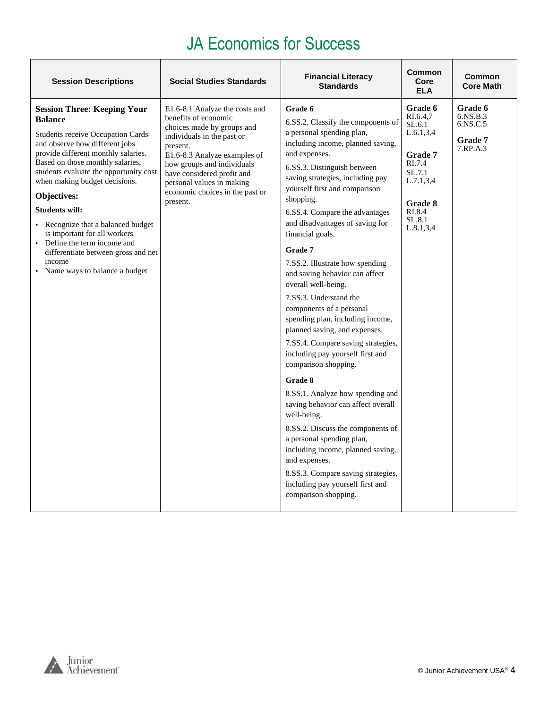| <b>Session Descriptions</b>                                                                                                                                                                                                                                                                                                                                                                                                                                                                                                | <b>Social Studies Standards</b>                                                                                                                                                                                                                                                                        | <b>Financial Literacy</b><br><b>Standards</b>                                                                                                                                                                                                                                                                                                                                                                                                                                                                                                                                                                                                                                                                                                                                                                                                                                                                                                                                                                | <b>Common</b><br>Core<br><b>ELA</b>                                                                                                      | Common<br><b>Core Math</b>                             |
|----------------------------------------------------------------------------------------------------------------------------------------------------------------------------------------------------------------------------------------------------------------------------------------------------------------------------------------------------------------------------------------------------------------------------------------------------------------------------------------------------------------------------|--------------------------------------------------------------------------------------------------------------------------------------------------------------------------------------------------------------------------------------------------------------------------------------------------------|--------------------------------------------------------------------------------------------------------------------------------------------------------------------------------------------------------------------------------------------------------------------------------------------------------------------------------------------------------------------------------------------------------------------------------------------------------------------------------------------------------------------------------------------------------------------------------------------------------------------------------------------------------------------------------------------------------------------------------------------------------------------------------------------------------------------------------------------------------------------------------------------------------------------------------------------------------------------------------------------------------------|------------------------------------------------------------------------------------------------------------------------------------------|--------------------------------------------------------|
| <b>Session Three: Keeping Your</b><br><b>Balance</b><br><b>Students receive Occupation Cards</b><br>and observe how different jobs<br>provide different monthly salaries.<br>Based on those monthly salaries,<br>students evaluate the opportunity cost<br>when making budget decisions.<br>Objectives:<br><b>Students will:</b><br>• Recognize that a balanced budget<br>is important for all workers<br>• Define the term income and<br>differentiate between gross and net<br>income<br>• Name ways to balance a budget | E1.6-8.1 Analyze the costs and<br>benefits of economic<br>choices made by groups and<br>individuals in the past or<br>present.<br>E1.6-8.3 Analyze examples of<br>how groups and individuals<br>have considered profit and<br>personal values in making<br>economic choices in the past or<br>present. | Grade 6<br>6.SS.2. Classify the components of<br>a personal spending plan,<br>including income, planned saving,<br>and expenses.<br>6.SS.3. Distinguish between<br>saving strategies, including pay<br>yourself first and comparison<br>shopping.<br>6.SS.4. Compare the advantages<br>and disadvantages of saving for<br>financial goals.<br>Grade 7<br>7.SS.2. Illustrate how spending<br>and saving behavior can affect<br>overall well-being.<br>7.SS.3. Understand the<br>components of a personal<br>spending plan, including income,<br>planned saving, and expenses.<br>7.SS.4. Compare saving strategies,<br>including pay yourself first and<br>comparison shopping.<br>Grade 8<br>8.SS.1. Analyze how spending and<br>saving behavior can affect overall<br>well-being.<br>8.SS.2. Discuss the components of<br>a personal spending plan,<br>including income, planned saving,<br>and expenses.<br>8.SS.3. Compare saving strategies,<br>including pay yourself first and<br>comparison shopping. | Grade 6<br>RI.6.4.7<br>SL.6.1<br>L.6.1, 3, 4<br>Grade 7<br>RI.7.4<br>SL.7.1<br>L.7.1, 3, 4<br>Grade 8<br>RI.8.4<br>SL.8.1<br>L.8.1, 3, 4 | Grade 6<br>6.NS.B.3<br>6.NS.C.5<br>Grade 7<br>7.RP.A.3 |

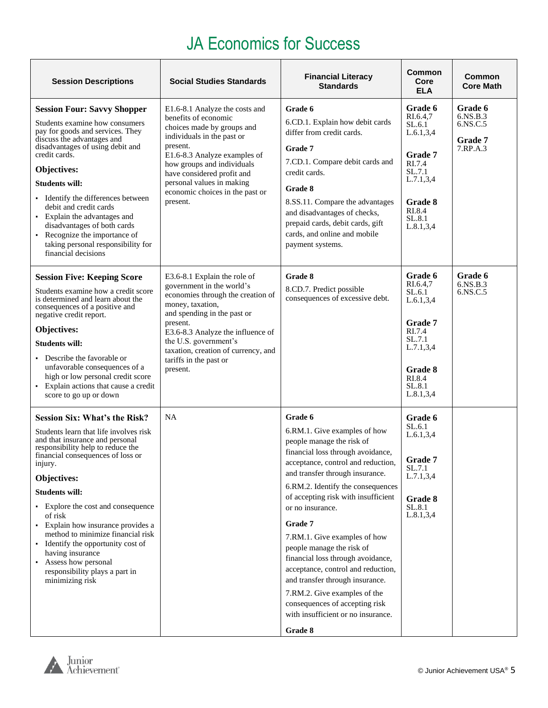| <b>Session Descriptions</b>                                                                                                                                                                                                                                                                                                                                                                                                                                                                                         | <b>Social Studies Standards</b>                                                                                                                                                                                                                                                                          | <b>Financial Literacy</b><br><b>Standards</b>                                                                                                                                                                                                                                                                                                                                                                                                                                                                                                                                               | Common<br>Core<br><b>ELA</b>                                                                                                             | Common<br><b>Core Math</b>                                    |
|---------------------------------------------------------------------------------------------------------------------------------------------------------------------------------------------------------------------------------------------------------------------------------------------------------------------------------------------------------------------------------------------------------------------------------------------------------------------------------------------------------------------|----------------------------------------------------------------------------------------------------------------------------------------------------------------------------------------------------------------------------------------------------------------------------------------------------------|---------------------------------------------------------------------------------------------------------------------------------------------------------------------------------------------------------------------------------------------------------------------------------------------------------------------------------------------------------------------------------------------------------------------------------------------------------------------------------------------------------------------------------------------------------------------------------------------|------------------------------------------------------------------------------------------------------------------------------------------|---------------------------------------------------------------|
| <b>Session Four: Savvy Shopper</b><br>Students examine how consumers<br>pay for goods and services. They<br>discuss the advantages and<br>disadvantages of using debit and<br>credit cards.<br>Objectives:<br><b>Students will:</b><br>Identify the differences between<br>debit and credit cards<br>Explain the advantages and<br>disadvantages of both cards<br>• Recognize the importance of<br>taking personal responsibility for<br>financial decisions                                                        | E1.6-8.1 Analyze the costs and<br>benefits of economic<br>choices made by groups and<br>individuals in the past or<br>present.<br>E1.6-8.3 Analyze examples of<br>how groups and individuals<br>have considered profit and<br>personal values in making<br>economic choices in the past or<br>present.   | Grade 6<br>6.CD.1. Explain how debit cards<br>differ from credit cards.<br>Grade 7<br>7.CD.1. Compare debit cards and<br>credit cards.<br>Grade 8<br>8.SS.11. Compare the advantages<br>and disadvantages of checks,<br>prepaid cards, debit cards, gift<br>cards, and online and mobile<br>payment systems.                                                                                                                                                                                                                                                                                | Grade 6<br>RI.6.4,7<br>SL.6.1<br>L.6.1, 3, 4<br>Grade 7<br>RI.7.4<br>SL.7.1<br>L.7.1, 3, 4<br>Grade 8<br>RI.8.4<br>SL.8.1<br>L.8.1, 3, 4 | Grade 6<br>6.NS.B.3<br>6.NS.C.5<br><b>Grade</b> 7<br>7.RP.A.3 |
| <b>Session Five: Keeping Score</b><br>Students examine how a credit score<br>is determined and learn about the<br>consequences of a positive and<br>negative credit report.<br>Objectives:<br><b>Students will:</b><br>Describe the favorable or<br>unfavorable consequences of a<br>high or low personal credit score<br>• Explain actions that cause a credit<br>score to go up or down                                                                                                                           | E3.6-8.1 Explain the role of<br>government in the world's<br>economies through the creation of<br>money, taxation,<br>and spending in the past or<br>present.<br>E3.6-8.3 Analyze the influence of<br>the U.S. government's<br>taxation, creation of currency, and<br>tariffs in the past or<br>present. | Grade 8<br>8.CD.7. Predict possible<br>consequences of excessive debt.                                                                                                                                                                                                                                                                                                                                                                                                                                                                                                                      | Grade 6<br>RI.6.4,7<br>SL.6.1<br>L.6.1, 3.4<br>Grade 7<br>RI.7.4<br>SL.7.1<br>L.7.1, 3, 4<br>Grade 8<br>RI.8.4<br>SL.8.1<br>L.8.1, 3, 4  | Grade 6<br>6.NS.B.3<br>6.NS.C.5                               |
| <b>Session Six: What's the Risk?</b><br>Students learn that life involves risk<br>and that insurance and personal<br>responsibility help to reduce the<br>financial consequences of loss or<br>injury.<br>Objectives:<br><b>Students will:</b><br>• Explore the cost and consequence<br>of risk<br>• Explain how insurance provides a<br>method to minimize financial risk<br>Identify the opportunity cost of<br>having insurance<br>Assess how personal<br>٠<br>responsibility plays a part in<br>minimizing risk | <b>NA</b>                                                                                                                                                                                                                                                                                                | Grade 6<br>6.RM.1. Give examples of how<br>people manage the risk of<br>financial loss through avoidance,<br>acceptance, control and reduction,<br>and transfer through insurance.<br>6.RM.2. Identify the consequences<br>of accepting risk with insufficient<br>or no insurance.<br>Grade 7<br>7.RM.1. Give examples of how<br>people manage the risk of<br>financial loss through avoidance,<br>acceptance, control and reduction,<br>and transfer through insurance.<br>7.RM.2. Give examples of the<br>consequences of accepting risk<br>with insufficient or no insurance.<br>Grade 8 | Grade 6<br>SL.6.1<br>L.6.1, 3, 4<br>Grade 7<br>SL.7.1<br>L.7.1, 3, 4<br>Grade 8<br>SL.8.1<br>L.8.1,3,4                                   |                                                               |

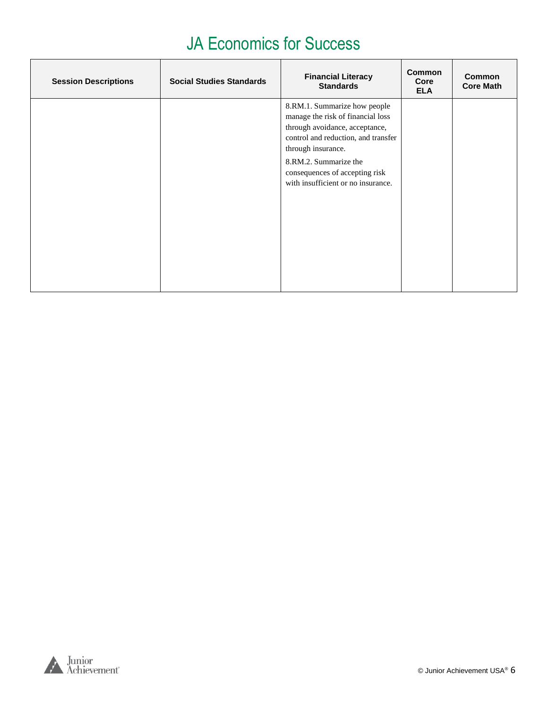| <b>Session Descriptions</b> | <b>Social Studies Standards</b> | <b>Financial Literacy</b><br><b>Standards</b>                                                                                                                                                                                                                     | <b>Common</b><br>Core<br><b>ELA</b> | <b>Common</b><br><b>Core Math</b> |
|-----------------------------|---------------------------------|-------------------------------------------------------------------------------------------------------------------------------------------------------------------------------------------------------------------------------------------------------------------|-------------------------------------|-----------------------------------|
|                             |                                 | 8.RM.1. Summarize how people<br>manage the risk of financial loss<br>through avoidance, acceptance,<br>control and reduction, and transfer<br>through insurance.<br>8.RM.2. Summarize the<br>consequences of accepting risk<br>with insufficient or no insurance. |                                     |                                   |

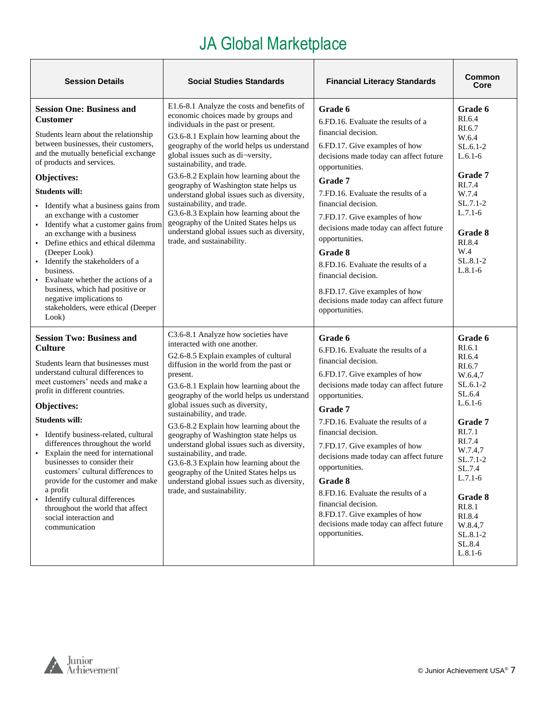<span id="page-6-0"></span>

| <b>Session Details</b>                                                                                                                                                                                                                                                                                                                                                                                                                                                                                                                                                                                                                                                          | <b>Social Studies Standards</b>                                                                                                                                                                                                                                                                                                                                                                                                                                                                                                                                                                                                                                     | <b>Financial Literacy Standards</b>                                                                                                                                                                                                                                                                                                                                                                                                                                                                           | <b>Common</b><br>Core                                                                                                                                                                                                                           |
|---------------------------------------------------------------------------------------------------------------------------------------------------------------------------------------------------------------------------------------------------------------------------------------------------------------------------------------------------------------------------------------------------------------------------------------------------------------------------------------------------------------------------------------------------------------------------------------------------------------------------------------------------------------------------------|---------------------------------------------------------------------------------------------------------------------------------------------------------------------------------------------------------------------------------------------------------------------------------------------------------------------------------------------------------------------------------------------------------------------------------------------------------------------------------------------------------------------------------------------------------------------------------------------------------------------------------------------------------------------|---------------------------------------------------------------------------------------------------------------------------------------------------------------------------------------------------------------------------------------------------------------------------------------------------------------------------------------------------------------------------------------------------------------------------------------------------------------------------------------------------------------|-------------------------------------------------------------------------------------------------------------------------------------------------------------------------------------------------------------------------------------------------|
| <b>Session One: Business and</b><br><b>Customer</b><br>Students learn about the relationship<br>between businesses, their customers,<br>and the mutually beneficial exchange<br>of products and services.<br>Objectives:<br><b>Students will:</b><br>• Identify what a business gains from<br>an exchange with a customer<br>Identify what a customer gains from<br>$\blacksquare$<br>an exchange with a business<br>• Define ethics and ethical dilemma<br>(Deeper Look)<br>· Identify the stakeholders of a<br>business.<br>• Evaluate whether the actions of a<br>business, which had positive or<br>negative implications to<br>stakeholders, were ethical (Deeper<br>Look) | E1.6-8.1 Analyze the costs and benefits of<br>economic choices made by groups and<br>individuals in the past or present.<br>G3.6-8.1 Explain how learning about the<br>geography of the world helps us understand<br>global issues such as di-versity,<br>sustainability, and trade.<br>G3.6-8.2 Explain how learning about the<br>geography of Washington state helps us<br>understand global issues such as diversity,<br>sustainability, and trade.<br>G3.6-8.3 Explain how learning about the<br>geography of the United States helps us<br>understand global issues such as diversity,<br>trade, and sustainability.                                           | Grade 6<br>6.FD.16. Evaluate the results of a<br>financial decision.<br>6.FD.17. Give examples of how<br>decisions made today can affect future<br>opportunities.<br>Grade 7<br>7.FD.16. Evaluate the results of a<br>financial decision.<br>7.FD.17. Give examples of how<br>decisions made today can affect future<br>opportunities.<br>Grade 8<br>8.FD.16. Evaluate the results of a<br>financial decision.<br>8.FD.17. Give examples of how<br>decisions made today can affect future<br>opportunities.   | Grade 6<br>RI.6.4<br>RI.6.7<br>W.6.4<br>$SL.6.1-2$<br>$L.6.1-6$<br>Grade 7<br>RI.7.4<br>W.7.4<br>$SL.7.1-2$<br>$L.7.1-6$<br>Grade 8<br>RI.8.4<br>W.4<br>$SL.8.1-2$<br>$L.8.1-6$                                                                 |
| <b>Session Two: Business and</b><br><b>Culture</b><br>Students learn that businesses must<br>understand cultural differences to<br>meet customers' needs and make a<br>profit in different countries.<br>Objectives:<br><b>Students will:</b><br>· Identify business-related, cultural<br>differences throughout the world<br>• Explain the need for international<br>businesses to consider their<br>customers' cultural differences to<br>provide for the customer and make<br>a profit<br>· Identify cultural differences<br>throughout the world that affect<br>social interaction and<br>communication                                                                     | C3.6-8.1 Analyze how societies have<br>interacted with one another.<br>G2.6-8.5 Explain examples of cultural<br>diffusion in the world from the past or<br>present.<br>G3.6-8.1 Explain how learning about the<br>geography of the world helps us understand<br>global issues such as diversity,<br>sustainability, and trade.<br>G3.6-8.2 Explain how learning about the<br>geography of Washington state helps us<br>understand global issues such as diversity,<br>sustainability, and trade.<br>G3.6-8.3 Explain how learning about the<br>geography of the United States helps us<br>understand global issues such as diversity,<br>trade, and sustainability. | Grade 6<br>6.FD.16. Evaluate the results of a<br>financial decision.<br>6.FD.17. Give examples of how<br>decisions made today can affect future<br>opportunities.<br>Grade 7<br>7.FD.16. Evaluate the results of a<br>financial decision.<br>7.FD.17. Give examples of how<br>decisions made today can affect future<br>opportunities.<br>Grade 8<br>8. FD. 16. Evaluate the results of a<br>financial decision.<br>8.FD.17. Give examples of how<br>decisions made today can affect future<br>opportunities. | Grade 6<br>RI.6.1<br>RI.6.4<br>RI.6.7<br>W.6.4,7<br>$SL.6.1-2$<br>SL.6.4<br>$L.6.1-6$<br>Grade 7<br>RI.7.1<br>RI.7.4<br>W.7.4,7<br>SL.7.1-2<br>SL.7.4<br>$L.7.1-6$<br>Grade 8<br>RI.8.1<br>RI.8.4<br>W.8.4,7<br>SL.8.1-2<br>SL.8.4<br>$L.8.1-6$ |

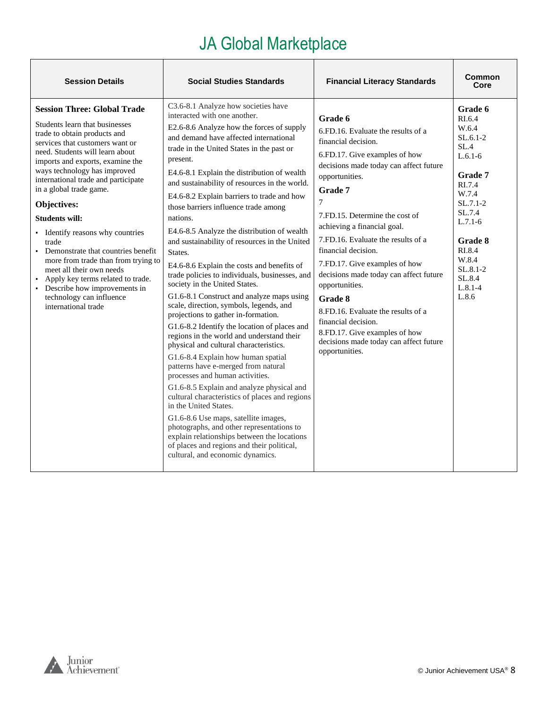| <b>Session Details</b>                                                                                                                                                                                                                                                                                                                                                                                                                                                                                                                                                                                                                     | <b>Social Studies Standards</b>                                                                                                                                                                                                                                                                                                                                                                                                                                                                                                                                                                                                                                                                                                                                                                                                                                                                                                                                                                                                                                                                                                                                                                                                                                                                                                                                                                       | <b>Financial Literacy Standards</b>                                                                                                                                                                                                                                                                                                                                                                                                                                                                                                                                                    | Common<br>Core                                                                                                                                                                                                   |
|--------------------------------------------------------------------------------------------------------------------------------------------------------------------------------------------------------------------------------------------------------------------------------------------------------------------------------------------------------------------------------------------------------------------------------------------------------------------------------------------------------------------------------------------------------------------------------------------------------------------------------------------|-------------------------------------------------------------------------------------------------------------------------------------------------------------------------------------------------------------------------------------------------------------------------------------------------------------------------------------------------------------------------------------------------------------------------------------------------------------------------------------------------------------------------------------------------------------------------------------------------------------------------------------------------------------------------------------------------------------------------------------------------------------------------------------------------------------------------------------------------------------------------------------------------------------------------------------------------------------------------------------------------------------------------------------------------------------------------------------------------------------------------------------------------------------------------------------------------------------------------------------------------------------------------------------------------------------------------------------------------------------------------------------------------------|----------------------------------------------------------------------------------------------------------------------------------------------------------------------------------------------------------------------------------------------------------------------------------------------------------------------------------------------------------------------------------------------------------------------------------------------------------------------------------------------------------------------------------------------------------------------------------------|------------------------------------------------------------------------------------------------------------------------------------------------------------------------------------------------------------------|
| <b>Session Three: Global Trade</b><br>Students learn that businesses<br>trade to obtain products and<br>services that customers want or<br>need. Students will learn about<br>imports and exports, examine the<br>ways technology has improved<br>international trade and participate<br>in a global trade game.<br>Objectives:<br><b>Students will:</b><br>• Identify reasons why countries<br>trade<br>• Demonstrate that countries benefit<br>more from trade than from trying to<br>meet all their own needs<br>Apply key terms related to trade.<br>• Describe how improvements in<br>technology can influence<br>international trade | C3.6-8.1 Analyze how societies have<br>interacted with one another.<br>E2.6-8.6 Analyze how the forces of supply<br>and demand have affected international<br>trade in the United States in the past or<br>present.<br>E4.6-8.1 Explain the distribution of wealth<br>and sustainability of resources in the world.<br>E4.6-8.2 Explain barriers to trade and how<br>those barriers influence trade among<br>nations.<br>E4.6-8.5 Analyze the distribution of wealth<br>and sustainability of resources in the United<br>States.<br>E4.6-8.6 Explain the costs and benefits of<br>trade policies to individuals, businesses, and<br>society in the United States.<br>G1.6-8.1 Construct and analyze maps using<br>scale, direction, symbols, legends, and<br>projections to gather in-formation.<br>G1.6-8.2 Identify the location of places and<br>regions in the world and understand their<br>physical and cultural characteristics.<br>G1.6-8.4 Explain how human spatial<br>patterns have e-merged from natural<br>processes and human activities.<br>G1.6-8.5 Explain and analyze physical and<br>cultural characteristics of places and regions<br>in the United States.<br>G1.6-8.6 Use maps, satellite images,<br>photographs, and other representations to<br>explain relationships between the locations<br>of places and regions and their political,<br>cultural, and economic dynamics. | Grade 6<br>6.FD.16. Evaluate the results of a<br>financial decision.<br>6.FD.17. Give examples of how<br>decisions made today can affect future<br>opportunities.<br>Grade 7<br>$\tau$<br>7.FD.15. Determine the cost of<br>achieving a financial goal.<br>7.FD.16. Evaluate the results of a<br>financial decision.<br>7.FD.17. Give examples of how<br>decisions made today can affect future<br>opportunities.<br>Grade 8<br>8.FD.16. Evaluate the results of a<br>financial decision.<br>8.FD.17. Give examples of how<br>decisions made today can affect future<br>opportunities. | Grade 6<br>RI.6.4<br>W.6.4<br>$SL.6.1-2$<br>SL.4<br>$L.6.1-6$<br>Grade 7<br>RI.7.4<br>W.7.4<br>$SL.7.1-2$<br>SL.7.4<br>$L.7.1-6$<br>Grade 8<br>RI.8.4<br>W.8.4<br>$SL.8.1 - 2$<br>SL.8.4<br>$L.8.1 - 4$<br>L.8.6 |

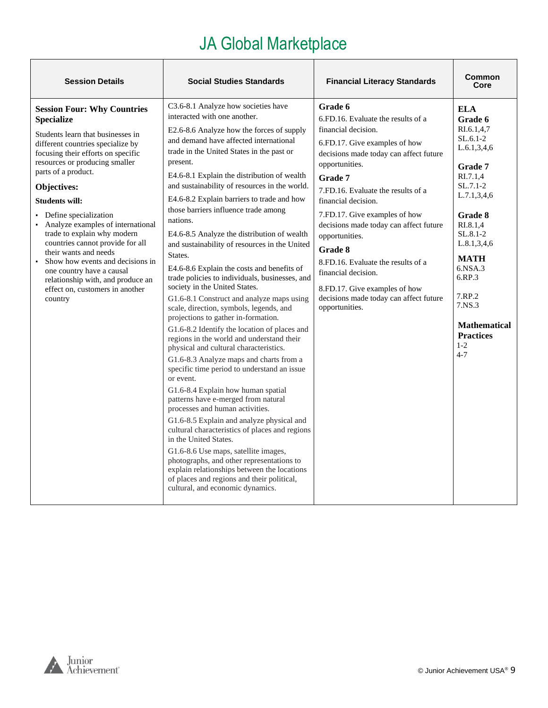| <b>Session Details</b>                                                                                                                                                                                                                                                                                                                                                                                                                                                                                                                                                                 | <b>Social Studies Standards</b>                                                                                                                                                                                                                                                                                                                                                                                                                                                                                                                                                                                                                                                                                                                                                                                                                                                                                                                                                                                                                                                                                                                                                                                                                                                                                                                                                                                                                                                                              | <b>Financial Literacy Standards</b>                                                                                                                                                                                                                                                                                                                                                                                                                                                                         | Common<br>Core                                                                                                                                                                                                                                                                                                    |
|----------------------------------------------------------------------------------------------------------------------------------------------------------------------------------------------------------------------------------------------------------------------------------------------------------------------------------------------------------------------------------------------------------------------------------------------------------------------------------------------------------------------------------------------------------------------------------------|--------------------------------------------------------------------------------------------------------------------------------------------------------------------------------------------------------------------------------------------------------------------------------------------------------------------------------------------------------------------------------------------------------------------------------------------------------------------------------------------------------------------------------------------------------------------------------------------------------------------------------------------------------------------------------------------------------------------------------------------------------------------------------------------------------------------------------------------------------------------------------------------------------------------------------------------------------------------------------------------------------------------------------------------------------------------------------------------------------------------------------------------------------------------------------------------------------------------------------------------------------------------------------------------------------------------------------------------------------------------------------------------------------------------------------------------------------------------------------------------------------------|-------------------------------------------------------------------------------------------------------------------------------------------------------------------------------------------------------------------------------------------------------------------------------------------------------------------------------------------------------------------------------------------------------------------------------------------------------------------------------------------------------------|-------------------------------------------------------------------------------------------------------------------------------------------------------------------------------------------------------------------------------------------------------------------------------------------------------------------|
| <b>Session Four: Why Countries</b><br><b>Specialize</b><br>Students learn that businesses in<br>different countries specialize by<br>focusing their efforts on specific<br>resources or producing smaller<br>parts of a product.<br>Objectives:<br><b>Students will:</b><br>Define specialization<br>Analyze examples of international<br>trade to explain why modern<br>countries cannot provide for all<br>their wants and needs<br>Show how events and decisions in<br>one country have a causal<br>relationship with, and produce an<br>effect on, customers in another<br>country | C3.6-8.1 Analyze how societies have<br>interacted with one another.<br>E2.6-8.6 Analyze how the forces of supply<br>and demand have affected international<br>trade in the United States in the past or<br>present.<br>E4.6-8.1 Explain the distribution of wealth<br>and sustainability of resources in the world.<br>E4.6-8.2 Explain barriers to trade and how<br>those barriers influence trade among<br>nations.<br>E4.6-8.5 Analyze the distribution of wealth<br>and sustainability of resources in the United<br>States.<br>E4.6-8.6 Explain the costs and benefits of<br>trade policies to individuals, businesses, and<br>society in the United States.<br>G1.6-8.1 Construct and analyze maps using<br>scale, direction, symbols, legends, and<br>projections to gather in-formation.<br>G1.6-8.2 Identify the location of places and<br>regions in the world and understand their<br>physical and cultural characteristics.<br>G1.6-8.3 Analyze maps and charts from a<br>specific time period to understand an issue<br>or event.<br>G1.6-8.4 Explain how human spatial<br>patterns have e-merged from natural<br>processes and human activities.<br>G1.6-8.5 Explain and analyze physical and<br>cultural characteristics of places and regions<br>in the United States.<br>G1.6-8.6 Use maps, satellite images,<br>photographs, and other representations to<br>explain relationships between the locations<br>of places and regions and their political,<br>cultural, and economic dynamics. | Grade 6<br>6.FD.16. Evaluate the results of a<br>financial decision.<br>6.FD.17. Give examples of how<br>decisions made today can affect future<br>opportunities.<br>Grade 7<br>7.FD.16. Evaluate the results of a<br>financial decision.<br>7.FD.17. Give examples of how<br>decisions made today can affect future<br>opportunities.<br>Grade 8<br>8.FD.16. Evaluate the results of a<br>financial decision.<br>8.FD.17. Give examples of how<br>decisions made today can affect future<br>opportunities. | <b>ELA</b><br>Grade 6<br>RI.6.1,4,7<br>$SL.6.1-2$<br>L.6.1, 3, 4, 6<br>Grade 7<br>R <sub>I.7.1,4</sub><br>$SL.7.1-2$<br>L.7.1, 3, 4, 6<br>Grade 8<br>RI.8.1,4<br>SL.8.1-2<br>L.8.1,3,4,6<br><b>MATH</b><br>6.NSA.3<br>6.RP.3<br>7.RP.2<br>7.NS.3<br><b>Mathematical</b><br><b>Practices</b><br>$1 - 2$<br>$4 - 7$ |

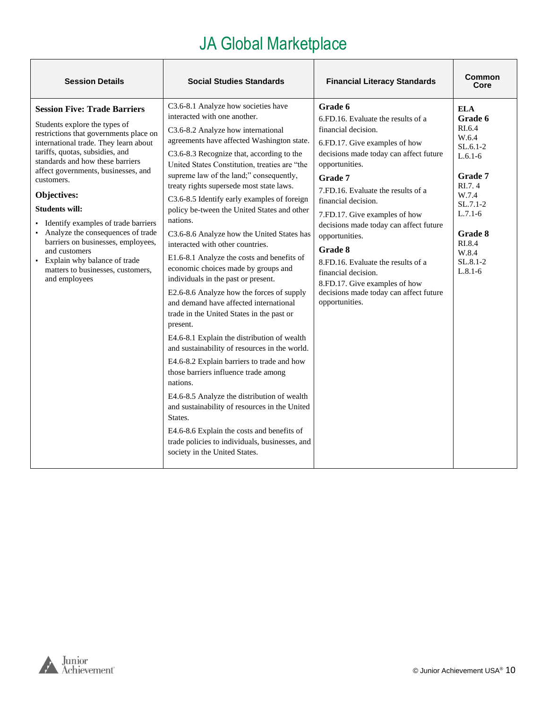| <b>Session Details</b>                                                                                                                                                                                                                                                                                                                                                                                                                                                                                                                                   | <b>Social Studies Standards</b>                                                                                                                                                                                                                                                                                                                                                                                                                                                                                                                                                                                                                                                                                                                                                                                                                                                                                                                                                                                                                                                                                                                                                                                                                                    | <b>Financial Literacy Standards</b>                                                                                                                                                                                                                                                                                                                                                                                                                                                                           | Common<br>Core                                                                                                                                                                        |
|----------------------------------------------------------------------------------------------------------------------------------------------------------------------------------------------------------------------------------------------------------------------------------------------------------------------------------------------------------------------------------------------------------------------------------------------------------------------------------------------------------------------------------------------------------|--------------------------------------------------------------------------------------------------------------------------------------------------------------------------------------------------------------------------------------------------------------------------------------------------------------------------------------------------------------------------------------------------------------------------------------------------------------------------------------------------------------------------------------------------------------------------------------------------------------------------------------------------------------------------------------------------------------------------------------------------------------------------------------------------------------------------------------------------------------------------------------------------------------------------------------------------------------------------------------------------------------------------------------------------------------------------------------------------------------------------------------------------------------------------------------------------------------------------------------------------------------------|---------------------------------------------------------------------------------------------------------------------------------------------------------------------------------------------------------------------------------------------------------------------------------------------------------------------------------------------------------------------------------------------------------------------------------------------------------------------------------------------------------------|---------------------------------------------------------------------------------------------------------------------------------------------------------------------------------------|
| <b>Session Five: Trade Barriers</b><br>Students explore the types of<br>restrictions that governments place on<br>international trade. They learn about<br>tariffs, quotas, subsidies, and<br>standards and how these barriers<br>affect governments, businesses, and<br>customers.<br>Objectives:<br><b>Students will:</b><br>• Identify examples of trade barriers<br>Analyze the consequences of trade<br>barriers on businesses, employees,<br>and customers<br>• Explain why balance of trade<br>matters to businesses, customers,<br>and employees | C3.6-8.1 Analyze how societies have<br>interacted with one another.<br>C3.6-8.2 Analyze how international<br>agreements have affected Washington state.<br>C3.6-8.3 Recognize that, according to the<br>United States Constitution, treaties are "the<br>supreme law of the land;" consequently,<br>treaty rights supersede most state laws.<br>C3.6-8.5 Identify early examples of foreign<br>policy be-tween the United States and other<br>nations.<br>C3.6-8.6 Analyze how the United States has<br>interacted with other countries.<br>E1.6-8.1 Analyze the costs and benefits of<br>economic choices made by groups and<br>individuals in the past or present.<br>E2.6-8.6 Analyze how the forces of supply<br>and demand have affected international<br>trade in the United States in the past or<br>present.<br>E4.6-8.1 Explain the distribution of wealth<br>and sustainability of resources in the world.<br>E4.6-8.2 Explain barriers to trade and how<br>those barriers influence trade among<br>nations.<br>E4.6-8.5 Analyze the distribution of wealth<br>and sustainability of resources in the United<br>States.<br>E4.6-8.6 Explain the costs and benefits of<br>trade policies to individuals, businesses, and<br>society in the United States. | Grade 6<br>6.FD.16. Evaluate the results of a<br>financial decision.<br>6.FD.17. Give examples of how<br>decisions made today can affect future<br>opportunities.<br>Grade 7<br>7.FD.16. Evaluate the results of a<br>financial decision.<br>7.FD.17. Give examples of how<br>decisions made today can affect future<br>opportunities.<br>Grade 8<br>8. FD, 16. Evaluate the results of a<br>financial decision.<br>8.FD.17. Give examples of how<br>decisions made today can affect future<br>opportunities. | <b>ELA</b><br>Grade 6<br>RI.6.4<br>W.6.4<br>$SL.6.1-2$<br>$L.6.1-6$<br>Grade 7<br>RI.7.4<br>W.7.4<br>$SL.7.1-2$<br>$L.7.1-6$<br>Grade 8<br>RI.8.4<br>W.8.4<br>$SL.8.1-2$<br>$L.8.1-6$ |

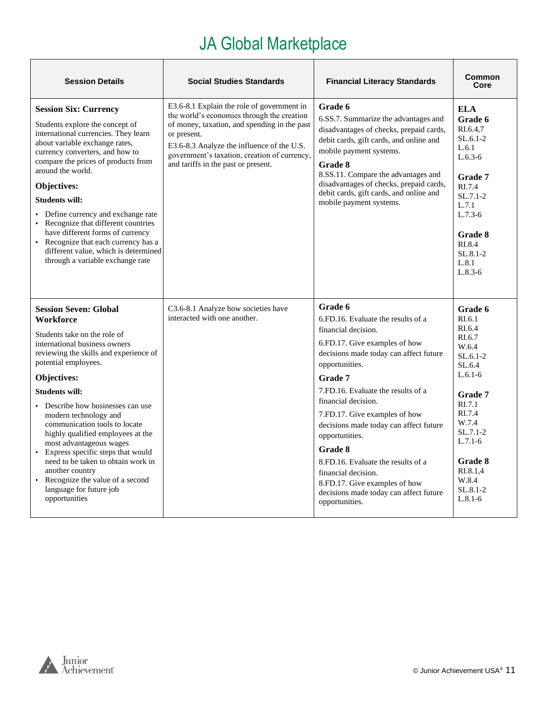| <b>Session Details</b>                                                                                                                                                                                                                                                                                                                                                                                                                                                                                                                                                    | <b>Social Studies Standards</b>                                                                                                                                                                                                                                                              | <b>Financial Literacy Standards</b>                                                                                                                                                                                                                                                                                                                                                                                                                                                                                | Common<br>Core                                                                                                                                                                                                             |
|---------------------------------------------------------------------------------------------------------------------------------------------------------------------------------------------------------------------------------------------------------------------------------------------------------------------------------------------------------------------------------------------------------------------------------------------------------------------------------------------------------------------------------------------------------------------------|----------------------------------------------------------------------------------------------------------------------------------------------------------------------------------------------------------------------------------------------------------------------------------------------|--------------------------------------------------------------------------------------------------------------------------------------------------------------------------------------------------------------------------------------------------------------------------------------------------------------------------------------------------------------------------------------------------------------------------------------------------------------------------------------------------------------------|----------------------------------------------------------------------------------------------------------------------------------------------------------------------------------------------------------------------------|
| <b>Session Six: Currency</b><br>Students explore the concept of<br>international currencies. They learn<br>about variable exchange rates,<br>currency converters, and how to<br>compare the prices of products from<br>around the world.<br>Objectives:<br><b>Students will:</b><br>• Define currency and exchange rate<br>• Recognize that different countries<br>have different forms of currency<br>• Recognize that each currency has a<br>different value, which is determined<br>through a variable exchange rate                                                   | E3.6-8.1 Explain the role of government in<br>the world's economies through the creation<br>of money, taxation, and spending in the past<br>or present.<br>E3.6-8.3 Analyze the influence of the U.S.<br>government's taxation, creation of currency,<br>and tariffs in the past or present. | Grade 6<br>6.SS.7. Summarize the advantages and<br>disadvantages of checks, prepaid cards,<br>debit cards, gift cards, and online and<br>mobile payment systems.<br>Grade 8<br>8.SS.11. Compare the advantages and<br>disadvantages of checks, prepaid cards,<br>debit cards, gift cards, and online and<br>mobile payment systems.                                                                                                                                                                                | ELA<br>Grade 6<br>RI.6.4.7<br>$SL.6.1-2$<br>L.6.1<br>$L.6.3-6$<br>Grade 7<br>RI.7.4<br>$SL.7.1-2$<br>L.7.1<br>$L.7.3-6$<br>Grade 8<br>RI.8.4<br>$SL.8.1 - 2$<br>L.8.1<br>$L.8.3-6$                                         |
| <b>Session Seven: Global</b><br><b>Workforce</b><br>Students take on the role of<br>international business owners<br>reviewing the skills and experience of<br>potential employees.<br>Objectives:<br><b>Students will:</b><br>Describe how businesses can use<br>modern technology and<br>communication tools to locate<br>highly qualified employees at the<br>most advantageous wages<br>• Express specific steps that would<br>need to be taken to obtain work in<br>another country<br>• Recognize the value of a second<br>language for future job<br>opportunities | C <sub>3</sub> .6-8.1 Analyze how societies have<br>interacted with one another.                                                                                                                                                                                                             | Grade 6<br>6.FD.16. Evaluate the results of a<br>financial decision.<br>6.FD.17. Give examples of how<br>decisions made today can affect future<br>opportunities.<br><b>Grade</b> 7<br>7.FD.16. Evaluate the results of a<br>financial decision.<br>7.FD.17. Give examples of how<br>decisions made today can affect future<br>opportunities.<br>Grade 8<br>8.FD.16. Evaluate the results of a<br>financial decision.<br>8.FD.17. Give examples of how<br>decisions made today can affect future<br>opportunities. | Grade 6<br>RI.6.1<br>RI.6.4<br>RI.6.7<br>W.6.4<br>$SL.6.1-2$<br>SL.6.4<br>$L.6.1-6$<br><b>Grade 7</b><br>RI.7.1<br>RI.7.4<br>W.7.4<br>$SL.7.1-2$<br>$L.7.1-6$<br>Grade 8<br>RI.8.1.4<br>W.8.4<br>$SL.8.1 - 2$<br>$L.8.1-6$ |

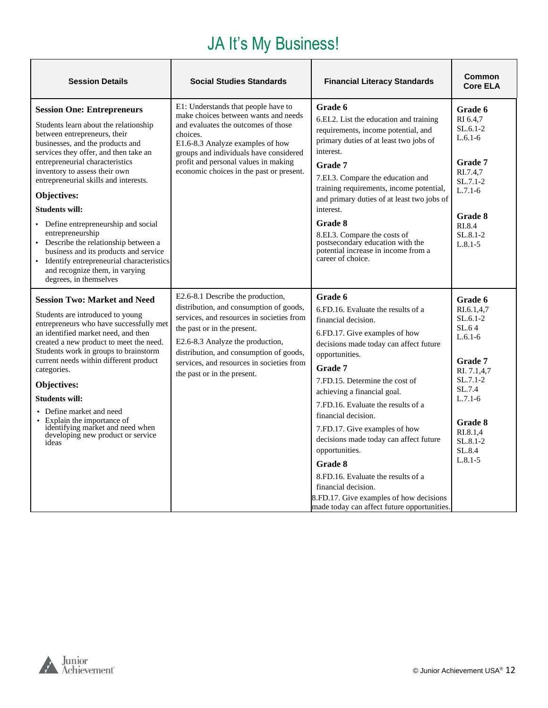# JA It's My Business!

<span id="page-11-0"></span>

| <b>Session Details</b>                                                                                                                                                                                                                                                                                                                                                                                                                                                                                                                                                                             | <b>Social Studies Standards</b>                                                                                                                                                                                                                                                                                     | <b>Financial Literacy Standards</b>                                                                                                                                                                                                                                                                                                                                                                                                                                                                                                                                              | Common<br><b>Core ELA</b>                                                                                                                                                                 |
|----------------------------------------------------------------------------------------------------------------------------------------------------------------------------------------------------------------------------------------------------------------------------------------------------------------------------------------------------------------------------------------------------------------------------------------------------------------------------------------------------------------------------------------------------------------------------------------------------|---------------------------------------------------------------------------------------------------------------------------------------------------------------------------------------------------------------------------------------------------------------------------------------------------------------------|----------------------------------------------------------------------------------------------------------------------------------------------------------------------------------------------------------------------------------------------------------------------------------------------------------------------------------------------------------------------------------------------------------------------------------------------------------------------------------------------------------------------------------------------------------------------------------|-------------------------------------------------------------------------------------------------------------------------------------------------------------------------------------------|
| <b>Session One: Entrepreneurs</b><br>Students learn about the relationship<br>between entrepreneurs, their<br>businesses, and the products and<br>services they offer, and then take an<br>entrepreneurial characteristics<br>inventory to assess their own<br>entrepreneurial skills and interests.<br>Objectives:<br><b>Students will:</b><br>• Define entrepreneurship and social<br>entrepreneurship<br>• Describe the relationship between a<br>business and its products and service<br>Identify entrepreneurial characteristics<br>and recognize them, in varying<br>degrees, in themselves | E1: Understands that people have to<br>make choices between wants and needs<br>and evaluates the outcomes of those<br>choices.<br>E1.6-8.3 Analyze examples of how<br>groups and individuals have considered<br>profit and personal values in making<br>economic choices in the past or present.                    | Grade 6<br>6.EI.2. List the education and training<br>requirements, income potential, and<br>primary duties of at least two jobs of<br>interest.<br>Grade 7<br>7.EI.3. Compare the education and<br>training requirements, income potential,<br>and primary duties of at least two jobs of<br>interest.<br>Grade 8<br>8.EI.3. Compare the costs of<br>postsecondary education with the<br>potential increase in income from a<br>career of choice.                                                                                                                               | Grade 6<br>RI 6.4.7<br>$SL.6.1-2$<br>$L.6.1-6$<br>Grade 7<br>RI.7.4,7<br>$SL.7.1-2$<br>$L.7.1-6$<br>Grade 8<br>RI.8.4<br>$SL.8.1 - 2$<br>$L.8.1 - 5$                                      |
| <b>Session Two: Market and Need</b><br>Students are introduced to young<br>entrepreneurs who have successfully met<br>an identified market need, and then<br>created a new product to meet the need.<br>Students work in groups to brainstorm<br>current needs within different product<br>categories.<br>Objectives:<br><b>Students will:</b><br>• Define market and need<br>• Explain the importance of<br>identifying market and need when<br>developing new product or service<br>ideas                                                                                                        | E2.6-8.1 Describe the production,<br>distribution, and consumption of goods,<br>services, and resources in societies from<br>the past or in the present.<br>E2.6-8.3 Analyze the production,<br>distribution, and consumption of goods,<br>services, and resources in societies from<br>the past or in the present. | Grade 6<br>6.FD.16. Evaluate the results of a<br>financial decision.<br>6.FD.17. Give examples of how<br>decisions made today can affect future<br>opportunities.<br>Grade 7<br>7.FD.15. Determine the cost of<br>achieving a financial goal.<br>7.FD.16. Evaluate the results of a<br>financial decision.<br>7.FD.17. Give examples of how<br>decisions made today can affect future<br>opportunities.<br><b>Grade 8</b><br>8.FD.16. Evaluate the results of a<br>financial decision.<br>8.FD.17. Give examples of how decisions<br>made today can affect future opportunities. | Grade 6<br>RI.6.1,4,7<br>$SL.6.1-2$<br>SL.64<br>$L.6.1-6$<br><b>Grade 7</b><br>RI. 7.1,4,7<br>$SL.7.1-2$<br>SL.7.4<br>$L.7.1-6$<br>Grade 8<br>RI.8.1,4<br>SL.8.1-2<br>SL.8.4<br>$L.8.1-5$ |

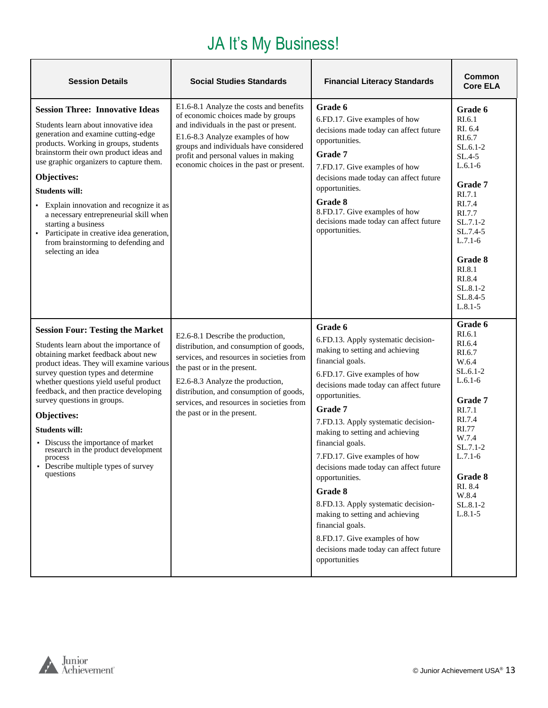## JA It's My Business!

| <b>Session Details</b>                                                                                                                                                                                                                                                                                                                                                                                                                                                                                             | <b>Social Studies Standards</b>                                                                                                                                                                                                                                                                                     | <b>Financial Literacy Standards</b>                                                                                                                                                                                                                                                                                                                                                                                                                                                                                                                                                                           | <b>Common</b><br><b>Core ELA</b>                                                                                                                                                                                                    |
|--------------------------------------------------------------------------------------------------------------------------------------------------------------------------------------------------------------------------------------------------------------------------------------------------------------------------------------------------------------------------------------------------------------------------------------------------------------------------------------------------------------------|---------------------------------------------------------------------------------------------------------------------------------------------------------------------------------------------------------------------------------------------------------------------------------------------------------------------|---------------------------------------------------------------------------------------------------------------------------------------------------------------------------------------------------------------------------------------------------------------------------------------------------------------------------------------------------------------------------------------------------------------------------------------------------------------------------------------------------------------------------------------------------------------------------------------------------------------|-------------------------------------------------------------------------------------------------------------------------------------------------------------------------------------------------------------------------------------|
| <b>Session Three: Innovative Ideas</b><br>Students learn about innovative idea<br>generation and examine cutting-edge<br>products. Working in groups, students<br>brainstorm their own product ideas and<br>use graphic organizers to capture them.<br>Objectives:<br><b>Students will:</b><br>Explain innovation and recognize it as<br>a necessary entrepreneurial skill when<br>starting a business<br>Participate in creative idea generation,<br>from brainstorming to defending and<br>selecting an idea     | E1.6-8.1 Analyze the costs and benefits<br>of economic choices made by groups<br>and individuals in the past or present.<br>E1.6-8.3 Analyze examples of how<br>groups and individuals have considered<br>profit and personal values in making<br>economic choices in the past or present.                          | Grade 6<br>6.FD.17. Give examples of how<br>decisions made today can affect future<br>opportunities.<br>Grade 7<br>7.FD.17. Give examples of how<br>decisions made today can affect future<br>opportunities.<br>Grade 8<br>8.FD.17. Give examples of how<br>decisions made today can affect future<br>opportunities.                                                                                                                                                                                                                                                                                          | Grade 6<br>RI.6.1<br>RI. 6.4<br>RI.6.7<br>$SL.6.1-2$<br>SL.4-5<br>$L.6.1-6$<br>Grade 7<br>RI.7.1<br>RI.7.4<br>RI.7.7<br>$SL.7.1-2$<br>SL.7.4-5<br>$L.7.1-6$<br>Grade 8<br>RI.8.1<br>RI.8.4<br>$SL.8.1-2$<br>SL.8.4-5<br>$L.8.1 - 5$ |
| <b>Session Four: Testing the Market</b><br>Students learn about the importance of<br>obtaining market feedback about new<br>product ideas. They will examine various<br>survey question types and determine<br>whether questions yield useful product<br>feedback, and then practice developing<br>survey questions in groups.<br>Objectives:<br><b>Students will:</b><br>• Discuss the importance of market<br>research in the product development<br>process<br>• Describe multiple types of survey<br>questions | E2.6-8.1 Describe the production,<br>distribution, and consumption of goods,<br>services, and resources in societies from<br>the past or in the present.<br>E2.6-8.3 Analyze the production,<br>distribution, and consumption of goods,<br>services, and resources in societies from<br>the past or in the present. | Grade 6<br>6.FD.13. Apply systematic decision-<br>making to setting and achieving<br>financial goals.<br>6.FD.17. Give examples of how<br>decisions made today can affect future<br>opportunities.<br>Grade 7<br>7.FD.13. Apply systematic decision-<br>making to setting and achieving<br>financial goals.<br>7.FD.17. Give examples of how<br>decisions made today can affect future<br>opportunities.<br>Grade 8<br>8.FD.13. Apply systematic decision-<br>making to setting and achieving<br>financial goals.<br>8.FD.17. Give examples of how<br>decisions made today can affect future<br>opportunities | Grade 6<br>RI.6.1<br>RI.6.4<br>RI.6.7<br>W.6.4<br>$SL.6.1-2$<br>$L.6.1-6$<br>Grade 7<br>RI.7.1<br>RI.7.4<br><b>RI.77</b><br>W.7.4<br>$SL.7.1-2$<br>$L.7.1-6$<br>Grade 8<br>RI. 8.4<br>W.8.4<br>SL.8.1-2<br>$L.8.1 - 5$              |

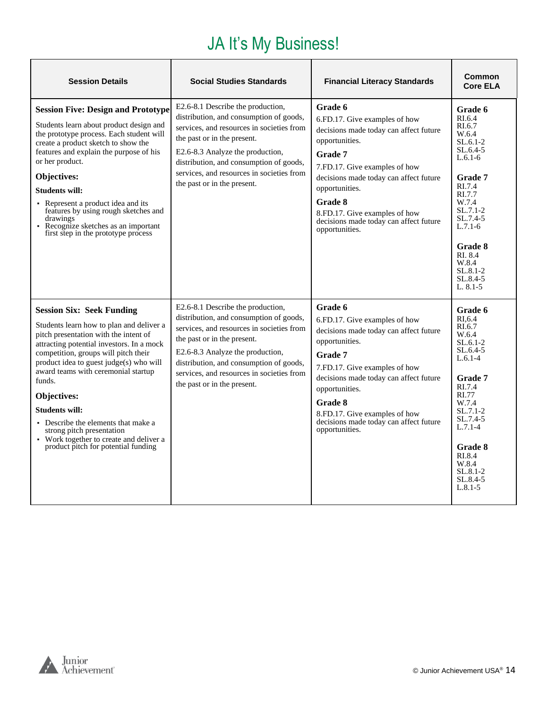# JA It's My Business!

| <b>Session Details</b>                                                                                                                                                                                                                                                                                                                                                                                                                                                                               | <b>Social Studies Standards</b>                                                                                                                                                                                                                                                                                     | <b>Financial Literacy Standards</b>                                                                                                                                                                                                                                                                                  | Common<br><b>Core ELA</b>                                                                                                                                                                                                                                |
|------------------------------------------------------------------------------------------------------------------------------------------------------------------------------------------------------------------------------------------------------------------------------------------------------------------------------------------------------------------------------------------------------------------------------------------------------------------------------------------------------|---------------------------------------------------------------------------------------------------------------------------------------------------------------------------------------------------------------------------------------------------------------------------------------------------------------------|----------------------------------------------------------------------------------------------------------------------------------------------------------------------------------------------------------------------------------------------------------------------------------------------------------------------|----------------------------------------------------------------------------------------------------------------------------------------------------------------------------------------------------------------------------------------------------------|
| <b>Session Five: Design and Prototype</b><br>Students learn about product design and<br>the prototype process. Each student will<br>create a product sketch to show the<br>features and explain the purpose of his<br>or her product.<br>Objectives:<br><b>Students will:</b><br>• Represent a product idea and its<br>features by using rough sketches and<br>drawings<br>• Recognize sketches as an important<br>first step in the prototype process                                               | E2.6-8.1 Describe the production,<br>distribution, and consumption of goods,<br>services, and resources in societies from<br>the past or in the present.<br>E2.6-8.3 Analyze the production,<br>distribution, and consumption of goods,<br>services, and resources in societies from<br>the past or in the present. | Grade 6<br>6.FD.17. Give examples of how<br>decisions made today can affect future<br>opportunities.<br>Grade 7<br>7.FD.17. Give examples of how<br>decisions made today can affect future<br>opportunities.<br>Grade 8<br>8.FD.17. Give examples of how<br>decisions made today can affect future<br>opportunities. | Grade 6<br>RI.6.4<br>RI.6.7<br>W.6.4<br>$SL.6.1-2$<br>$SL.6.4-5$<br>$L.6.1-6$<br><b>Grade 7</b><br>RI.7.4<br>RI.7.7<br>W.7.4<br>$SL.7.1-2$<br>$SL.7.4-5$<br>$L.7.1-6$<br><b>Grade 8</b><br>RI 8.4<br>W.8.4<br>$SL.8.1 - 2$<br>$SL.8.4-5$<br>$L. 8.1 - 5$ |
| <b>Session Six: Seek Funding</b><br>Students learn how to plan and deliver a<br>pitch presentation with the intent of<br>attracting potential investors. In a mock<br>competition, groups will pitch their<br>product idea to guest judge(s) who will<br>award teams with ceremonial startup<br>funds.<br>Objectives:<br><b>Students will:</b><br>• Describe the elements that make a<br>strong pitch presentation<br>• Work together to create and deliver a<br>product pitch for potential funding | E2.6-8.1 Describe the production,<br>distribution, and consumption of goods,<br>services, and resources in societies from<br>the past or in the present.<br>E2.6-8.3 Analyze the production,<br>distribution, and consumption of goods,<br>services, and resources in societies from<br>the past or in the present. | Grade 6<br>6.FD.17. Give examples of how<br>decisions made today can affect future<br>opportunities.<br>Grade 7<br>7.FD.17. Give examples of how<br>decisions made today can affect future<br>opportunities.<br>Grade 8<br>8.FD.17. Give examples of how<br>decisions made today can affect future<br>opportunities. | Grade 6<br>RI.6.4<br>RI.6.7<br>W.6.4<br>$SL.6.1-2$<br>$SL.6.4-5$<br>$L.6.1-4$<br><b>Grade 7</b><br>RI.7.4<br>RI.77<br>W.7.4<br>$SL.7.1-2$<br>$SL.7.4-5$<br>$L.7.1 - 4$<br><b>Grade 8</b><br>RI.8.4<br>W.8.4<br>$SL.8.1 - 2$<br>$SL.8.4-5$<br>$L.8.1 - 5$ |

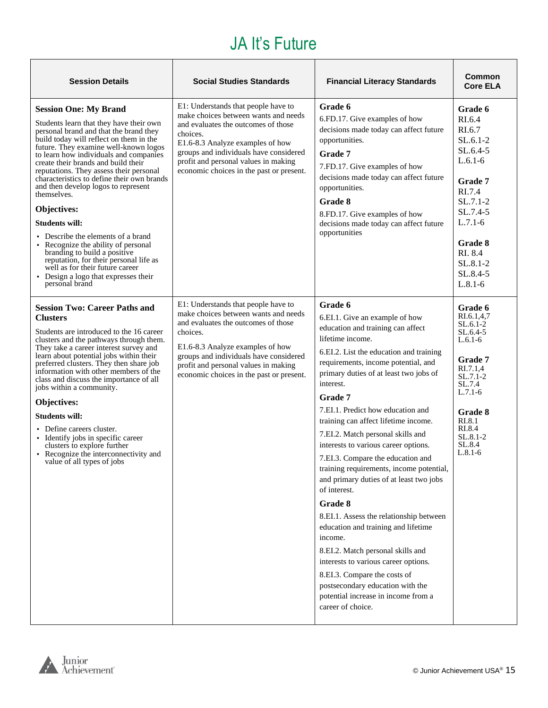#### JA It's Future

<span id="page-14-0"></span>

| <b>Session Details</b>                                                                                                                                                                                                                                                                                                                                                                                                                                                                                                                                                                                                                                                                                                            | <b>Social Studies Standards</b>                                                                                                                                                                                                                                                                  | <b>Financial Literacy Standards</b>                                                                                                                                                                                                                                                                                                                                                                                                                                                                                                                                                                                                                                                                                                                                                                                                                                               | Common<br><b>Core ELA</b>                                                                                                                                                                     |
|-----------------------------------------------------------------------------------------------------------------------------------------------------------------------------------------------------------------------------------------------------------------------------------------------------------------------------------------------------------------------------------------------------------------------------------------------------------------------------------------------------------------------------------------------------------------------------------------------------------------------------------------------------------------------------------------------------------------------------------|--------------------------------------------------------------------------------------------------------------------------------------------------------------------------------------------------------------------------------------------------------------------------------------------------|-----------------------------------------------------------------------------------------------------------------------------------------------------------------------------------------------------------------------------------------------------------------------------------------------------------------------------------------------------------------------------------------------------------------------------------------------------------------------------------------------------------------------------------------------------------------------------------------------------------------------------------------------------------------------------------------------------------------------------------------------------------------------------------------------------------------------------------------------------------------------------------|-----------------------------------------------------------------------------------------------------------------------------------------------------------------------------------------------|
| <b>Session One: My Brand</b><br>Students learn that they have their own<br>personal brand and that the brand they<br>build today will reflect on them in the<br>future. They examine well-known logos<br>to learn how individuals and companies<br>create their brands and build their<br>reputations. They assess their personal<br>characteristics to define their own brands<br>and then develop logos to represent<br>themselves.<br>Objectives:<br><b>Students will:</b><br>• Describe the elements of a brand<br>• Recognize the ability of personal<br>branding to build a positive<br>reputation, for their personal life as<br>well as for their future career<br>• Design a logo that expresses their<br>personal brand | E1: Understands that people have to<br>make choices between wants and needs<br>and evaluates the outcomes of those<br>choices.<br>E1.6-8.3 Analyze examples of how<br>groups and individuals have considered<br>profit and personal values in making<br>economic choices in the past or present. | Grade 6<br>6.FD.17. Give examples of how<br>decisions made today can affect future<br>opportunities.<br>Grade 7<br>7.FD.17. Give examples of how<br>decisions made today can affect future<br>opportunities.<br>Grade 8<br>8.FD.17. Give examples of how<br>decisions made today can affect future<br>opportunities                                                                                                                                                                                                                                                                                                                                                                                                                                                                                                                                                               | Grade 6<br>RI.6.4<br>RI.6.7<br>$SL.6.1-2$<br>$SL.6.4-5$<br>$L.6.1-6$<br>Grade 7<br>RI.7.4<br>$SL.7.1-2$<br>SL.7.4-5<br>$L.7.1-6$<br>Grade 8<br>RI. 8.4<br>SL.8.1-2<br>SL.8.4-5<br>$L.8.1 - 6$ |
| <b>Session Two: Career Paths and</b><br><b>Clusters</b><br>Students are introduced to the 16 career<br>clusters and the pathways through them.<br>They take a career interest survey and<br>learn about potential jobs within their<br>preferred clusters. They then share job<br>information with other members of the<br>class and discuss the importance of all<br>jobs within a community.<br>Objectives:<br><b>Students will:</b><br>• Define careers cluster.<br>• Identify jobs in specific career<br>clusters to explore further<br>• Recognize the interconnectivity and<br>value of all types of jobs                                                                                                                   | E1: Understands that people have to<br>make choices between wants and needs<br>and evaluates the outcomes of those<br>choices.<br>E1.6-8.3 Analyze examples of how<br>groups and individuals have considered<br>profit and personal values in making<br>economic choices in the past or present. | Grade 6<br>6.EI.1. Give an example of how<br>education and training can affect<br>lifetime income.<br>6.EI.2. List the education and training<br>requirements, income potential, and<br>primary duties of at least two jobs of<br>interest.<br>Grade 7<br>7.EI.1. Predict how education and<br>training can affect lifetime income.<br>7.EI.2. Match personal skills and<br>interests to various career options.<br>7.EI.3. Compare the education and<br>training requirements, income potential,<br>and primary duties of at least two jobs<br>of interest.<br>Grade 8<br>8.EI.1. Assess the relationship between<br>education and training and lifetime<br>income.<br>8.EI.2. Match personal skills and<br>interests to various career options.<br>8.EI.3. Compare the costs of<br>postsecondary education with the<br>potential increase in income from a<br>career of choice. | Grade 6<br>RI.6.1.4.7<br>SL.6.1-2<br>SL.6.4-5<br>$L.6.1-6$<br>Grade 7<br>RI.7.1,4<br>$SL.7.1-2$<br>SL.7.4<br>$L.7.1-6$<br>Grade 8<br>RI.8.1<br>RI.8.4<br>$SL.8.1-2$<br>SL.8.4<br>$L.8.1-6$    |

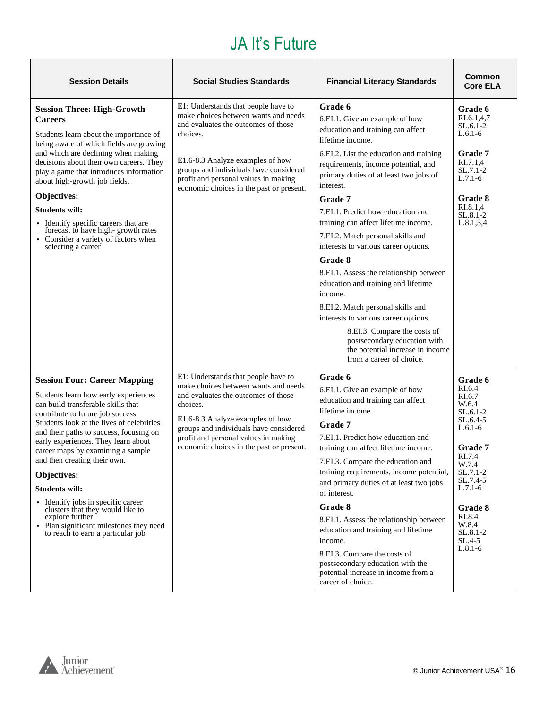#### JA It's Future

| <b>Session Details</b>                                                                                                                                                                                                                                                                                                                                                                                                                                                                                                                                                          | <b>Social Studies Standards</b>                                                                                                                                                                                                                                                                  | <b>Financial Literacy Standards</b>                                                                                                                                                                                                                                                                                                                                                                                                                                                                                                                                                                                                                                                                                                   | Common<br><b>Core ELA</b>                                                                                                                                                                                     |
|---------------------------------------------------------------------------------------------------------------------------------------------------------------------------------------------------------------------------------------------------------------------------------------------------------------------------------------------------------------------------------------------------------------------------------------------------------------------------------------------------------------------------------------------------------------------------------|--------------------------------------------------------------------------------------------------------------------------------------------------------------------------------------------------------------------------------------------------------------------------------------------------|---------------------------------------------------------------------------------------------------------------------------------------------------------------------------------------------------------------------------------------------------------------------------------------------------------------------------------------------------------------------------------------------------------------------------------------------------------------------------------------------------------------------------------------------------------------------------------------------------------------------------------------------------------------------------------------------------------------------------------------|---------------------------------------------------------------------------------------------------------------------------------------------------------------------------------------------------------------|
| <b>Session Three: High-Growth</b><br><b>Careers</b><br>Students learn about the importance of<br>being aware of which fields are growing<br>and which are declining when making<br>decisions about their own careers. They<br>play a game that introduces information<br>about high-growth job fields.<br>Objectives:<br><b>Students will:</b><br>• Identify specific careers that are<br>forecast to have high-growth rates<br>• Consider a variety of factors when<br>selecting a career                                                                                      | E1: Understands that people have to<br>make choices between wants and needs<br>and evaluates the outcomes of those<br>choices.<br>E1.6-8.3 Analyze examples of how<br>groups and individuals have considered<br>profit and personal values in making<br>economic choices in the past or present. | Grade 6<br>6.EI.1. Give an example of how<br>education and training can affect<br>lifetime income.<br>6.EI.2. List the education and training<br>requirements, income potential, and<br>primary duties of at least two jobs of<br>interest.<br>Grade 7<br>7.EI.1. Predict how education and<br>training can affect lifetime income.<br>7.EI.2. Match personal skills and<br>interests to various career options.<br>Grade 8<br>8.EI.1. Assess the relationship between<br>education and training and lifetime<br>income.<br>8.EI.2. Match personal skills and<br>interests to various career options.<br>8.EI.3. Compare the costs of<br>postsecondary education with<br>the potential increase in income<br>from a career of choice. | Grade 6<br>RI.6.1,4,7<br>$SL.6.1-2$<br>$L.6.1-6$<br>Grade 7<br>RI.7.1.4<br>SL.7.1-2<br>$L.7.1-6$<br><b>Grade 8</b><br>RI.8.1,4<br>SL.8.1-2<br>L.8.1, 3, 4                                                     |
| <b>Session Four: Career Mapping</b><br>Students learn how early experiences<br>can build transferable skills that<br>contribute to future job success.<br>Students look at the lives of celebrities<br>and their paths to success, focusing on<br>early experiences. They learn about<br>career maps by examining a sample<br>and then creating their own.<br>Objectives:<br><b>Students will:</b><br>· Identify jobs in specific career<br>clusters that they would like to<br>explore further<br>• Plan significant milestones they need<br>to reach to earn a particular job | E1: Understands that people have to<br>make choices between wants and needs<br>and evaluates the outcomes of those<br>choices.<br>E1.6-8.3 Analyze examples of how<br>groups and individuals have considered<br>profit and personal values in making<br>economic choices in the past or present. | Grade 6<br>6.EI.1. Give an example of how<br>education and training can affect<br>lifetime income.<br>Grade 7<br>7.EI.1. Predict how education and<br>training can affect lifetime income.<br>7.EI.3. Compare the education and<br>training requirements, income potential,<br>and primary duties of at least two jobs<br>of interest.<br>Grade 8<br>8.EI.1. Assess the relationship between<br>education and training and lifetime<br>income.<br>8.EI.3. Compare the costs of<br>postsecondary education with the<br>potential increase in income from a<br>career of choice.                                                                                                                                                        | Grade 6<br>RI.6.4<br>RI.6.7<br>W.6.4<br>SL.6.1-2<br>SL.6.4-5<br>$L.6.1-6$<br>Grade 7<br>RI.7.4<br>W.7.4<br>SL.7.1-2<br>SL.7.4-5<br>$L.7.1-6$<br>Grade 8<br>RI.8.4<br>W.8.4<br>SL.8.1-2<br>SL.4-5<br>$L.8.1-6$ |

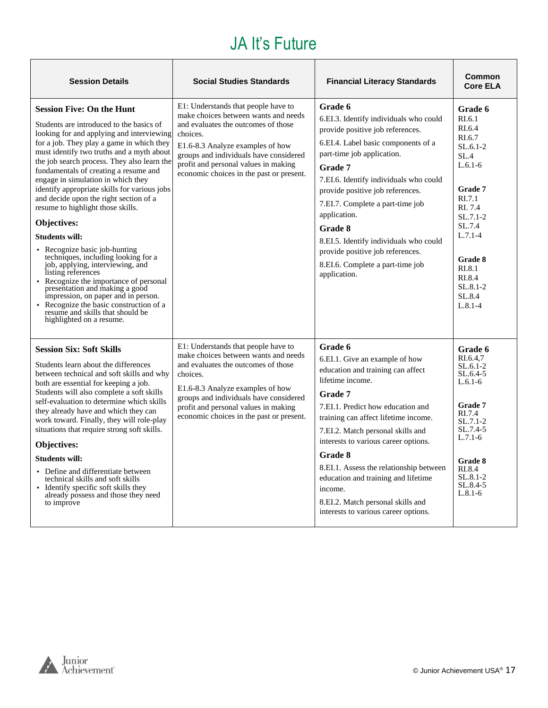### JA It's Future

| <b>Session Details</b>                                                                                                                                                                                                                                                                                                                                                                                                                                                                                                                                                                                                                                                                                                                                                                                                                                                                   | <b>Social Studies Standards</b>                                                                                                                                                                                                                                                                  | <b>Financial Literacy Standards</b>                                                                                                                                                                                                                                                                                                                                                                                                                          | <b>Common</b><br><b>Core ELA</b>                                                                                                                                                                                               |
|------------------------------------------------------------------------------------------------------------------------------------------------------------------------------------------------------------------------------------------------------------------------------------------------------------------------------------------------------------------------------------------------------------------------------------------------------------------------------------------------------------------------------------------------------------------------------------------------------------------------------------------------------------------------------------------------------------------------------------------------------------------------------------------------------------------------------------------------------------------------------------------|--------------------------------------------------------------------------------------------------------------------------------------------------------------------------------------------------------------------------------------------------------------------------------------------------|--------------------------------------------------------------------------------------------------------------------------------------------------------------------------------------------------------------------------------------------------------------------------------------------------------------------------------------------------------------------------------------------------------------------------------------------------------------|--------------------------------------------------------------------------------------------------------------------------------------------------------------------------------------------------------------------------------|
| <b>Session Five: On the Hunt</b><br>Students are introduced to the basics of<br>looking for and applying and interviewing<br>for a job. They play a game in which they<br>must identify two truths and a myth about<br>the job search process. They also learn the<br>fundamentals of creating a resume and<br>engage in simulation in which they<br>identify appropriate skills for various jobs<br>and decide upon the right section of a<br>resume to highlight those skills.<br>Objectives:<br><b>Students will:</b><br>• Recognize basic job-hunting<br>techniques, including looking for a<br>job, applying, interviewing, and<br>listing references<br>• Recognize the importance of personal<br>presentation and making a good<br>impression, on paper and in person.<br>• Recognize the basic construction of a<br>resume and skills that should be<br>highlighted on a resume. | E1: Understands that people have to<br>make choices between wants and needs<br>and evaluates the outcomes of those<br>choices.<br>E1.6-8.3 Analyze examples of how<br>groups and individuals have considered<br>profit and personal values in making<br>economic choices in the past or present. | Grade 6<br>6.EI.3. Identify individuals who could<br>provide positive job references.<br>6.EI.4. Label basic components of a<br>part-time job application.<br>Grade 7<br>7.EI.6. Identify individuals who could<br>provide positive job references.<br>7.EI.7. Complete a part-time job<br>application.<br>Grade 8<br>8.EI.5. Identify individuals who could<br>provide positive job references.<br>8.EI.6. Complete a part-time job<br>application.         | Grade 6<br>RI.6.1<br>RI.6.4<br>RI.6.7<br>$SL.6.1-2$<br>SL.4<br>$L.6.1-6$<br>Grade 7<br>RI.7.1<br>RI. 7.4<br>$SL.7.1-2$<br>SL.7.4<br>$L.7.1 - 4$<br><b>Grade 8</b><br>RI.8.1<br>RI.8.4<br>$SL.8.1 - 2$<br>SL.8.4<br>$L.8.1 - 4$ |
| <b>Session Six: Soft Skills</b><br>Students learn about the differences<br>between technical and soft skills and why<br>both are essential for keeping a job.<br>Students will also complete a soft skills<br>self-evaluation to determine which skills<br>they already have and which they can<br>work toward. Finally, they will role-play<br>situations that require strong soft skills.<br>Objectives:<br><b>Students will:</b><br>• Define and differentiate between<br>technical skills and soft skills<br>• Identify specific soft skills they<br>already possess and those they need<br>to improve                                                                                                                                                                                                                                                                               | E1: Understands that people have to<br>make choices between wants and needs<br>and evaluates the outcomes of those<br>choices.<br>E1.6-8.3 Analyze examples of how<br>groups and individuals have considered<br>profit and personal values in making<br>economic choices in the past or present. | Grade 6<br>6.EI.1. Give an example of how<br>education and training can affect<br>lifetime income.<br>Grade 7<br>7.EI.1. Predict how education and<br>training can affect lifetime income.<br>7.EI.2. Match personal skills and<br>interests to various career options.<br>Grade 8<br>8.EI.1. Assess the relationship between<br>education and training and lifetime<br>income.<br>8.EI.2. Match personal skills and<br>interests to various career options. | Grade 6<br>RI.6.4,7<br>$SL.6.1-2$<br>$SL.6.4-5$<br>$L.6.1-6$<br><b>Grade 7</b><br>RI.7.4<br>$SL.7.1-2$<br>SL.7.4-5<br>$L.7.1-6$<br>Grade 8<br>RI.8.4<br>$SL.8.1 - 2$<br>$SL.8.4-5$<br>$L.8.1-6$                                |

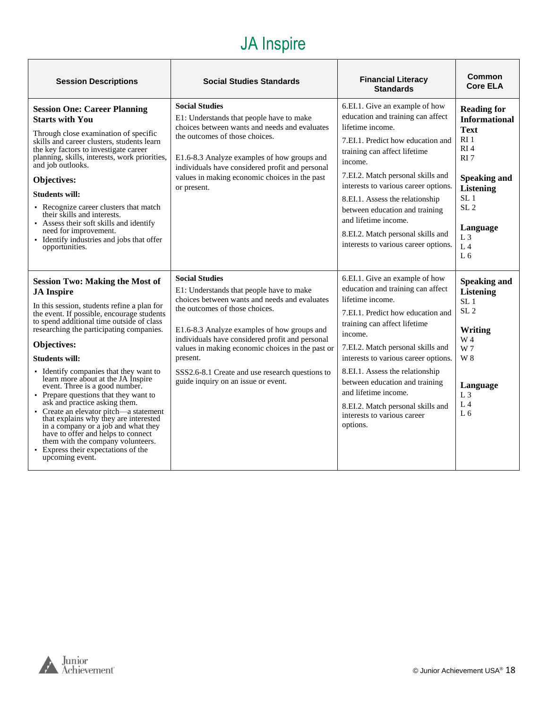# JA Inspire

| <b>Session Descriptions</b>                                                                                                                                                                                                                                                                                                                                                                                                                                                                                                                                                                                                                                                                                                                          | <b>Social Studies Standards</b>                                                                                                                                                                                                                                                                                                                                                                                  | <b>Financial Literacy</b><br><b>Standards</b>                                                                                                                                                                                                                                                                                                                                                                                     | Common<br><b>Core ELA</b>                                                                                                                                                                                                                                 |
|------------------------------------------------------------------------------------------------------------------------------------------------------------------------------------------------------------------------------------------------------------------------------------------------------------------------------------------------------------------------------------------------------------------------------------------------------------------------------------------------------------------------------------------------------------------------------------------------------------------------------------------------------------------------------------------------------------------------------------------------------|------------------------------------------------------------------------------------------------------------------------------------------------------------------------------------------------------------------------------------------------------------------------------------------------------------------------------------------------------------------------------------------------------------------|-----------------------------------------------------------------------------------------------------------------------------------------------------------------------------------------------------------------------------------------------------------------------------------------------------------------------------------------------------------------------------------------------------------------------------------|-----------------------------------------------------------------------------------------------------------------------------------------------------------------------------------------------------------------------------------------------------------|
| <b>Session One: Career Planning</b><br><b>Starts with You</b><br>Through close examination of specific<br>skills and career clusters, students learn<br>the key factors to investigate career<br>planning, skills, interests, work priorities,<br>and job outlooks.<br>Objectives:<br><b>Students will:</b><br>• Recognize career clusters that match<br>their skills and interests.<br>• Assess their soft skills and identify<br>need for improvement.<br>• Identify industries and jobs that offer<br>opportunities.                                                                                                                                                                                                                              | <b>Social Studies</b><br>E1: Understands that people have to make<br>choices between wants and needs and evaluates<br>the outcomes of those choices.<br>E1.6-8.3 Analyze examples of how groups and<br>individuals have considered profit and personal<br>values in making economic choices in the past<br>or present.                                                                                           | 6.EI.1. Give an example of how<br>education and training can affect<br>lifetime income.<br>7.EI.1. Predict how education and<br>training can affect lifetime<br>income.<br>7.EI.2. Match personal skills and<br>interests to various career options.<br>8.EI.1. Assess the relationship<br>between education and training<br>and lifetime income.<br>8.EI.2. Match personal skills and<br>interests to various career options.    | <b>Reading for</b><br><b>Informational</b><br><b>Text</b><br>RI <sub>1</sub><br>RI4<br>RI <sub>7</sub><br><b>Speaking and</b><br><b>Listening</b><br>SL <sub>1</sub><br>SL <sub>2</sub><br>Language<br>L <sub>3</sub><br>L <sub>4</sub><br>L <sub>6</sub> |
| <b>Session Two: Making the Most of</b><br><b>JA</b> Inspire<br>In this session, students refine a plan for<br>the event. If possible, encourage students<br>to spend additional time outside of class<br>researching the participating companies.<br>Objectives:<br><b>Students will:</b><br>• Identify companies that they want to<br>learn more about at the JA Inspire<br>event. Three is a good number.<br>• Prepare questions that they want to<br>ask and practice asking them.<br>• Create an elevator pitch—a statement<br>that explains why they are interested<br>in a company or a job and what they<br>have to offer and helps to connect<br>them with the company volunteers.<br>• Express their expectations of the<br>upcoming event. | <b>Social Studies</b><br>E1: Understands that people have to make<br>choices between wants and needs and evaluates<br>the outcomes of those choices.<br>E1.6-8.3 Analyze examples of how groups and<br>individuals have considered profit and personal<br>values in making economic choices in the past or<br>present.<br>SSS2.6-8.1 Create and use research questions to<br>guide inquiry on an issue or event. | 6.EI.1. Give an example of how<br>education and training can affect<br>lifetime income.<br>7.EI.1. Predict how education and<br>training can affect lifetime<br>income.<br>7.EI.2. Match personal skills and<br>interests to various career options.<br>8.EI.1. Assess the relationship<br>between education and training<br>and lifetime income.<br>8.EI.2. Match personal skills and<br>interests to various career<br>options. | <b>Speaking and</b><br><b>Listening</b><br>SL <sub>1</sub><br>SL <sub>2</sub><br>Writing<br>W 4<br>W 7<br>W 8<br>Language<br>L <sub>3</sub><br>L <sub>4</sub><br>L <sub>6</sub>                                                                           |

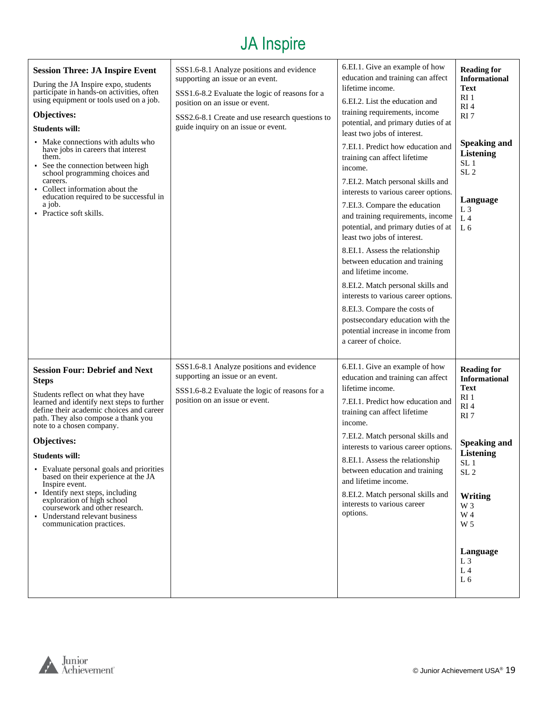# JA Inspire

| <b>Session Three: JA Inspire Event</b><br>During the JA Inspire expo, students<br>participate in hands-on activities, often<br>using equipment or tools used on a job.<br>Objectives:<br><b>Students will:</b><br>• Make connections with adults who<br>have jobs in careers that interest<br>them.<br>See the connection between high<br>school programming choices and<br>careers.<br>• Collect information about the<br>education required to be successful in<br>a job.<br>• Practice soft skills.                                                            | SSS1.6-8.1 Analyze positions and evidence<br>supporting an issue or an event.<br>SSS1.6-8.2 Evaluate the logic of reasons for a<br>position on an issue or event.<br>SSS2.6-8.1 Create and use research questions to<br>guide inquiry on an issue or event. | 6.EI.1. Give an example of how<br>education and training can affect<br>lifetime income.<br>6.EI.2. List the education and<br>training requirements, income<br>potential, and primary duties of at<br>least two jobs of interest.<br>7.EI.1. Predict how education and<br>training can affect lifetime<br>income.<br>7.EI.2. Match personal skills and<br>interests to various career options.<br>7.EI.3. Compare the education<br>and training requirements, income<br>potential, and primary duties of at<br>least two jobs of interest.<br>8.EI.1. Assess the relationship<br>between education and training<br>and lifetime income.<br>8.EI.2. Match personal skills and<br>interests to various career options.<br>8.EI.3. Compare the costs of<br>postsecondary education with the<br>potential increase in income from<br>a career of choice. | <b>Reading for</b><br><b>Informational</b><br><b>Text</b><br>RI <sub>1</sub><br>RI4<br>RI <sub>7</sub><br><b>Speaking and</b><br><b>Listening</b><br>SL <sub>1</sub><br>SL <sub>2</sub><br>Language<br>L <sub>3</sub><br>L <sub>4</sub><br>L <sub>6</sub>                        |
|-------------------------------------------------------------------------------------------------------------------------------------------------------------------------------------------------------------------------------------------------------------------------------------------------------------------------------------------------------------------------------------------------------------------------------------------------------------------------------------------------------------------------------------------------------------------|-------------------------------------------------------------------------------------------------------------------------------------------------------------------------------------------------------------------------------------------------------------|-----------------------------------------------------------------------------------------------------------------------------------------------------------------------------------------------------------------------------------------------------------------------------------------------------------------------------------------------------------------------------------------------------------------------------------------------------------------------------------------------------------------------------------------------------------------------------------------------------------------------------------------------------------------------------------------------------------------------------------------------------------------------------------------------------------------------------------------------------|----------------------------------------------------------------------------------------------------------------------------------------------------------------------------------------------------------------------------------------------------------------------------------|
| <b>Session Four: Debrief and Next</b><br><b>Steps</b><br>Students reflect on what they have<br>learned and identify next steps to further<br>define their academic choices and career<br>path. They also compose a thank you<br>note to a chosen company.<br>Objectives:<br>Students will:<br>• Evaluate personal goals and priorities<br>based on their experience at the JA<br>Inspire event.<br>• Identify next steps, including<br>exploration of high school<br>coursework and other research.<br>• Understand relevant business<br>communication practices. | SSS1.6-8.1 Analyze positions and evidence<br>supporting an issue or an event.<br>SSS1.6-8.2 Evaluate the logic of reasons for a<br>position on an issue or event.                                                                                           | 6.EI.1. Give an example of how<br>education and training can affect<br>lifetime income.<br>7.EI.1. Predict how education and<br>training can affect lifetime<br>income.<br>7.EI.2. Match personal skills and<br>interests to various career options.<br>8.EI.1. Assess the relationship<br>between education and training<br>and lifetime income.<br>8.EI.2. Match personal skills and<br>interests to various career<br>options.                                                                                                                                                                                                                                                                                                                                                                                                                   | <b>Reading for</b><br><b>Informational</b><br><b>Text</b><br>RI <sub>1</sub><br>RI4<br>RI <sub>7</sub><br><b>Speaking and</b><br><b>Listening</b><br>SL <sub>1</sub><br>SL <sub>2</sub><br>Writing<br>W 3<br>W 4<br>W 5<br>Language<br>$L_3$<br>L <sub>4</sub><br>L <sub>6</sub> |

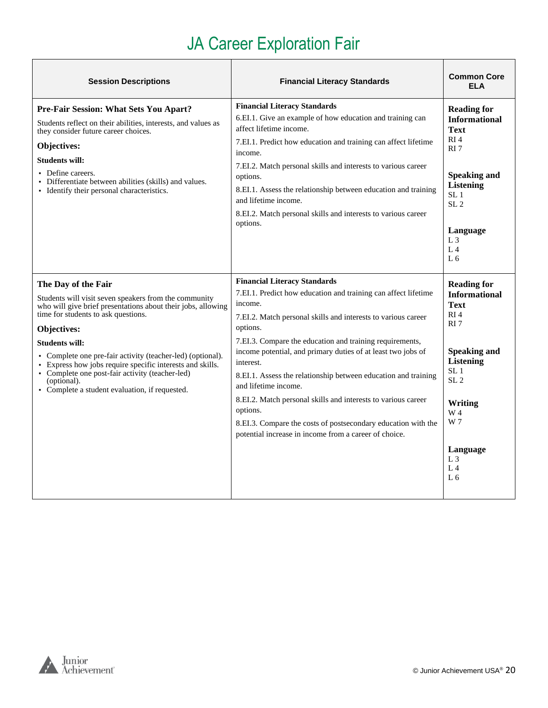# JA Career Exploration Fair

<span id="page-19-0"></span>

| <b>Session Descriptions</b>                                                                                                                                                                                                                                                                                                                                                                                                                                                | <b>Financial Literacy Standards</b>                                                                                                                                                                                                                                                                                                                                                                                                                                                                                                                                                                                                     | <b>Common Core</b><br><b>ELA</b>                                                                                                                                                                                                                                   |
|----------------------------------------------------------------------------------------------------------------------------------------------------------------------------------------------------------------------------------------------------------------------------------------------------------------------------------------------------------------------------------------------------------------------------------------------------------------------------|-----------------------------------------------------------------------------------------------------------------------------------------------------------------------------------------------------------------------------------------------------------------------------------------------------------------------------------------------------------------------------------------------------------------------------------------------------------------------------------------------------------------------------------------------------------------------------------------------------------------------------------------|--------------------------------------------------------------------------------------------------------------------------------------------------------------------------------------------------------------------------------------------------------------------|
| Pre-Fair Session: What Sets You Apart?<br>Students reflect on their abilities, interests, and values as<br>they consider future career choices.<br>Objectives:<br><b>Students will:</b><br>• Define careers.<br>Differentiate between abilities (skills) and values.<br>• Identify their personal characteristics.                                                                                                                                                         | <b>Financial Literacy Standards</b><br>6.EI.1. Give an example of how education and training can<br>affect lifetime income.<br>7.EI.1. Predict how education and training can affect lifetime<br>income.<br>7.EI.2. Match personal skills and interests to various career<br>options.<br>8.EI.1. Assess the relationship between education and training<br>and lifetime income.<br>8.EI.2. Match personal skills and interests to various career<br>options.                                                                                                                                                                            | <b>Reading for</b><br><b>Informational</b><br><b>Text</b><br>RI <sub>4</sub><br>RI <sub>7</sub><br><b>Speaking and</b><br><b>Listening</b><br>SL <sub>1</sub><br>SL <sub>2</sub><br>Language<br>L <sub>3</sub><br>L <sub>4</sub><br>L <sub>6</sub>                 |
| The Day of the Fair<br>Students will visit seven speakers from the community<br>who will give brief presentations about their jobs, allowing<br>time for students to ask questions.<br>Objectives:<br><b>Students will:</b><br>• Complete one pre-fair activity (teacher-led) (optional).<br>• Express how jobs require specific interests and skills.<br>• Complete one post-fair activity (teacher-led)<br>(optional).<br>• Complete a student evaluation, if requested. | <b>Financial Literacy Standards</b><br>7.EI.1. Predict how education and training can affect lifetime<br>income.<br>7.EI.2. Match personal skills and interests to various career<br>options.<br>7.EI.3. Compare the education and training requirements,<br>income potential, and primary duties of at least two jobs of<br>interest.<br>8.EI.1. Assess the relationship between education and training<br>and lifetime income.<br>8.EI.2. Match personal skills and interests to various career<br>options.<br>8.EI.3. Compare the costs of postsecondary education with the<br>potential increase in income from a career of choice. | <b>Reading for</b><br><b>Informational</b><br><b>Text</b><br>RI <sub>4</sub><br>RI <sub>7</sub><br><b>Speaking and</b><br><b>Listening</b><br>SL <sub>1</sub><br>SL <sub>2</sub><br>Writing<br>W 4<br>W 7<br>Language<br>L <sub>3</sub><br>$L_4$<br>L <sub>6</sub> |

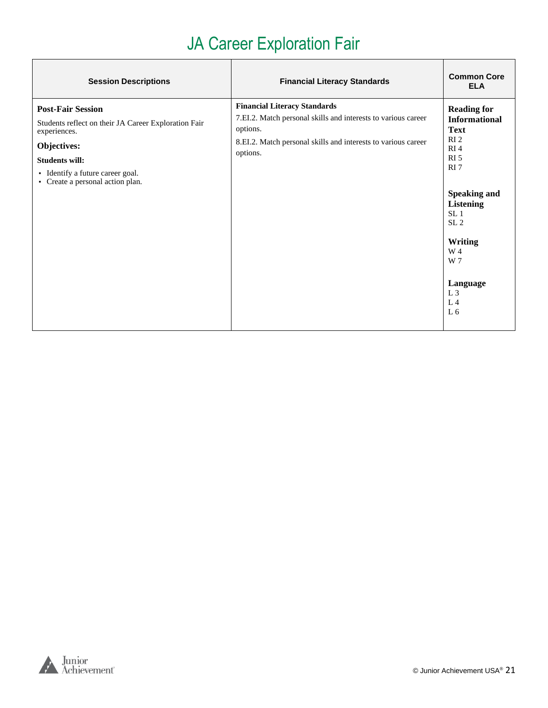# JA Career Exploration Fair

| <b>Session Descriptions</b>                                                                                                                                                                                      | <b>Financial Literacy Standards</b>                                                                                                                                                           | <b>Common Core</b><br><b>ELA</b>                                                                                                                                                                                                                                                                                  |
|------------------------------------------------------------------------------------------------------------------------------------------------------------------------------------------------------------------|-----------------------------------------------------------------------------------------------------------------------------------------------------------------------------------------------|-------------------------------------------------------------------------------------------------------------------------------------------------------------------------------------------------------------------------------------------------------------------------------------------------------------------|
| <b>Post-Fair Session</b><br>Students reflect on their JA Career Exploration Fair<br>experiences.<br>Objectives:<br><b>Students will:</b><br>• Identify a future career goal.<br>• Create a personal action plan. | <b>Financial Literacy Standards</b><br>7.EI.2. Match personal skills and interests to various career<br>options.<br>8.EI.2. Match personal skills and interests to various career<br>options. | <b>Reading for</b><br><b>Informational</b><br><b>Text</b><br>RI <sub>2</sub><br>RI <sub>4</sub><br>RI <sub>5</sub><br>RI <sub>7</sub><br><b>Speaking and</b><br><b>Listening</b><br>SL <sub>1</sub><br>SL <sub>2</sub><br>Writing<br>W 4<br>W 7<br>Language<br>L <sub>3</sub><br>L <sub>4</sub><br>L <sub>6</sub> |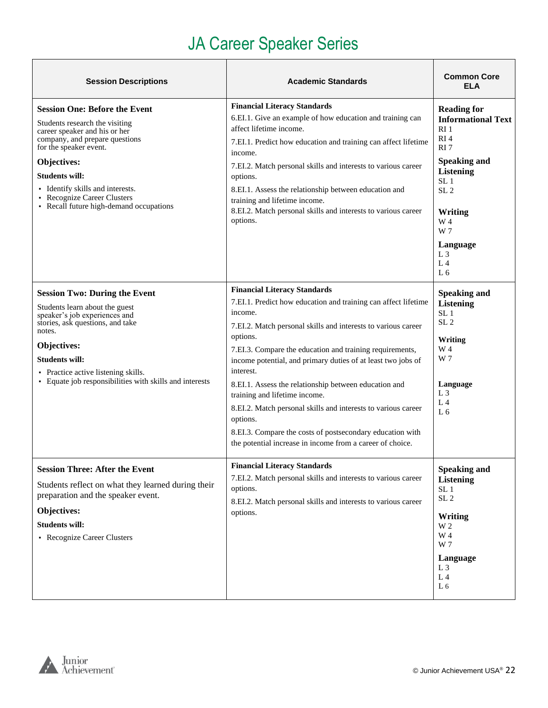# JA Career Speaker Series

<span id="page-21-0"></span>

| <b>Session Descriptions</b>                                                                                                                                                                                                                                                                                               | <b>Academic Standards</b>                                                                                                                                                                                                                                                                                                                                                                                                                                                                                                                                                                                                               | <b>Common Core</b><br><b>ELA</b>                                                                                                                                                                                                                                 |
|---------------------------------------------------------------------------------------------------------------------------------------------------------------------------------------------------------------------------------------------------------------------------------------------------------------------------|-----------------------------------------------------------------------------------------------------------------------------------------------------------------------------------------------------------------------------------------------------------------------------------------------------------------------------------------------------------------------------------------------------------------------------------------------------------------------------------------------------------------------------------------------------------------------------------------------------------------------------------------|------------------------------------------------------------------------------------------------------------------------------------------------------------------------------------------------------------------------------------------------------------------|
| <b>Session One: Before the Event</b><br>Students research the visiting<br>career speaker and his or her<br>company, and prepare questions<br>for the speaker event.<br>Objectives:<br><b>Students will:</b><br>• Identify skills and interests.<br>• Recognize Career Clusters<br>• Recall future high-demand occupations | <b>Financial Literacy Standards</b><br>6.EI.1. Give an example of how education and training can<br>affect lifetime income.<br>7.EI.1. Predict how education and training can affect lifetime<br>income.<br>7.EI.2. Match personal skills and interests to various career<br>options.<br>8.EI.1. Assess the relationship between education and<br>training and lifetime income.<br>8.EI.2. Match personal skills and interests to various career<br>options.                                                                                                                                                                            | <b>Reading for</b><br><b>Informational Text</b><br>RI <sub>1</sub><br>RI <sub>4</sub><br>RI <sub>7</sub><br><b>Speaking and</b><br><b>Listening</b><br>SL <sub>1</sub><br>SL <sub>2</sub><br>Writing<br>W 4<br>W 7<br>Language<br>$L_3$<br>L <sub>4</sub><br>L 6 |
| <b>Session Two: During the Event</b><br>Students learn about the guest<br>speaker's job experiences and<br>stories, ask questions, and take<br>notes.<br>Objectives:<br>Students will:<br>• Practice active listening skills.<br>• Equate job responsibilities with skills and interests                                  | <b>Financial Literacy Standards</b><br>7.EI.1. Predict how education and training can affect lifetime<br>income.<br>7.EI.2. Match personal skills and interests to various career<br>options.<br>7.EI.3. Compare the education and training requirements,<br>income potential, and primary duties of at least two jobs of<br>interest.<br>8.EI.1. Assess the relationship between education and<br>training and lifetime income.<br>8.EI.2. Match personal skills and interests to various career<br>options.<br>8.EI.3. Compare the costs of postsecondary education with<br>the potential increase in income from a career of choice. | <b>Speaking and</b><br><b>Listening</b><br>SL <sub>1</sub><br>SL <sub>2</sub><br>Writing<br>W 4<br>W 7<br>Language<br>$L_3$<br>L <sub>4</sub><br>L6                                                                                                              |
| <b>Session Three: After the Event</b><br>Students reflect on what they learned during their<br>preparation and the speaker event.<br>Objectives:<br><b>Students will:</b><br>• Recognize Career Clusters                                                                                                                  | <b>Financial Literacy Standards</b><br>7.EI.2. Match personal skills and interests to various career<br>options.<br>8.EI.2. Match personal skills and interests to various career<br>options.                                                                                                                                                                                                                                                                                                                                                                                                                                           | <b>Speaking and</b><br><b>Listening</b><br>SL <sub>1</sub><br>SL <sub>2</sub><br>Writing<br>W <sub>2</sub><br>W 4<br>W 7<br>Language<br>$L_3$<br>L <sub>4</sub><br>L <sub>6</sub>                                                                                |

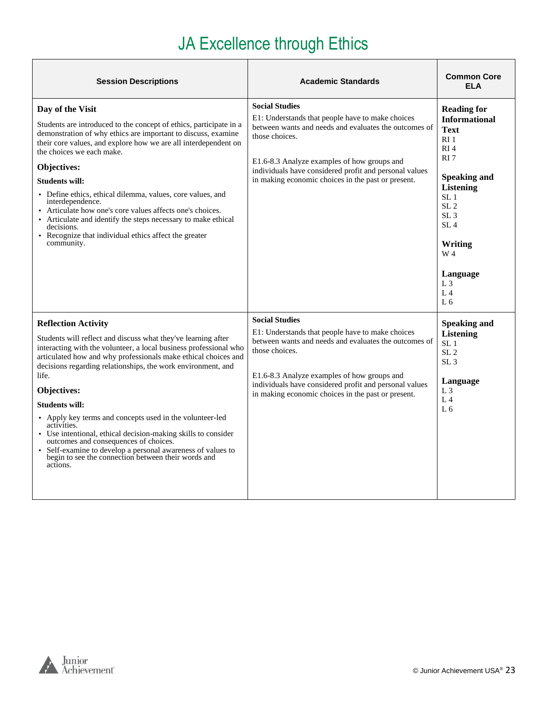# JA Excellence through Ethics

| <b>Session Descriptions</b>                                                                                                                                                                                                                                                                                                                                                                                                                                                                                                                                                                                                                                                | <b>Academic Standards</b>                                                                                                                                                                                                                                                                                           | <b>Common Core</b><br><b>ELA</b>                                                                                                                                                                                                                                                                                              |
|----------------------------------------------------------------------------------------------------------------------------------------------------------------------------------------------------------------------------------------------------------------------------------------------------------------------------------------------------------------------------------------------------------------------------------------------------------------------------------------------------------------------------------------------------------------------------------------------------------------------------------------------------------------------------|---------------------------------------------------------------------------------------------------------------------------------------------------------------------------------------------------------------------------------------------------------------------------------------------------------------------|-------------------------------------------------------------------------------------------------------------------------------------------------------------------------------------------------------------------------------------------------------------------------------------------------------------------------------|
| Day of the Visit<br>Students are introduced to the concept of ethics, participate in a<br>demonstration of why ethics are important to discuss, examine<br>their core values, and explore how we are all interdependent on<br>the choices we each make.<br>Objectives:<br><b>Students will:</b><br>• Define ethics, ethical dilemma, values, core values, and<br>interdependence.<br>Articulate how one's core values affects one's choices.<br>Articulate and identify the steps necessary to make ethical<br>decisions.<br>• Recognize that individual ethics affect the greater<br>community.                                                                           | <b>Social Studies</b><br>E1: Understands that people have to make choices<br>between wants and needs and evaluates the outcomes of<br>those choices.<br>E1.6-8.3 Analyze examples of how groups and<br>individuals have considered profit and personal values<br>in making economic choices in the past or present. | <b>Reading for</b><br><b>Informational</b><br><b>Text</b><br>RI <sub>1</sub><br>RI <sub>4</sub><br>RI <sub>7</sub><br><b>Speaking and</b><br><b>Listening</b><br>SL <sub>1</sub><br>SL <sub>2</sub><br>SL <sub>3</sub><br>SL <sub>4</sub><br>Writing<br>W 4<br>Language<br>L <sub>3</sub><br>L <sub>4</sub><br>L <sub>6</sub> |
| <b>Reflection Activity</b><br>Students will reflect and discuss what they've learning after<br>interacting with the volunteer, a local business professional who<br>articulated how and why professionals make ethical choices and<br>decisions regarding relationships, the work environment, and<br>life.<br>Objectives:<br><b>Students will:</b><br>• Apply key terms and concepts used in the volunteer-led<br>activities.<br>• Use intentional, ethical decision-making skills to consider<br>outcomes and consequences of choices.<br>• Self-examine to develop a personal awareness of values to<br>begin to see the connection between their words and<br>actions. | <b>Social Studies</b><br>E1: Understands that people have to make choices<br>between wants and needs and evaluates the outcomes of<br>those choices.<br>E1.6-8.3 Analyze examples of how groups and<br>individuals have considered profit and personal values<br>in making economic choices in the past or present. | <b>Speaking and</b><br><b>Listening</b><br>SL <sub>1</sub><br>SL <sub>2</sub><br>SL <sub>3</sub><br>Language<br>L <sub>3</sub><br>L <sub>4</sub><br>L <sub>6</sub>                                                                                                                                                            |

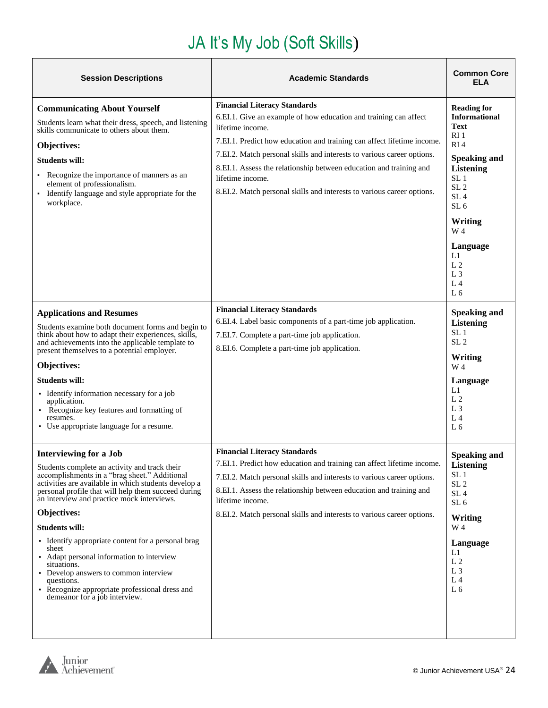# JA It's My Job (Soft Skills)

<span id="page-23-0"></span>

| <b>Session Descriptions</b>                                                                                                                                                                                                                                                                                                                                                                                                                                                                                                                                                                        | <b>Academic Standards</b>                                                                                                                                                                                                                                                                                                                                                                                                                           | <b>Common Core</b><br><b>ELA</b>                                                                                                                                                                                                                                                                                        |
|----------------------------------------------------------------------------------------------------------------------------------------------------------------------------------------------------------------------------------------------------------------------------------------------------------------------------------------------------------------------------------------------------------------------------------------------------------------------------------------------------------------------------------------------------------------------------------------------------|-----------------------------------------------------------------------------------------------------------------------------------------------------------------------------------------------------------------------------------------------------------------------------------------------------------------------------------------------------------------------------------------------------------------------------------------------------|-------------------------------------------------------------------------------------------------------------------------------------------------------------------------------------------------------------------------------------------------------------------------------------------------------------------------|
| <b>Communicating About Yourself</b><br>Students learn what their dress, speech, and listening<br>skills communicate to others about them.<br>Objectives:<br><b>Students will:</b><br>Recognize the importance of manners as an<br>element of professionalism.<br>Identify language and style appropriate for the<br>workplace.                                                                                                                                                                                                                                                                     | <b>Financial Literacy Standards</b><br>6.EI.1. Give an example of how education and training can affect<br>lifetime income.<br>7.EI.1. Predict how education and training can affect lifetime income.<br>7.EI.2. Match personal skills and interests to various career options.<br>8.EI.1. Assess the relationship between education and training and<br>lifetime income.<br>8.EI.2. Match personal skills and interests to various career options. | <b>Reading for</b><br><b>Informational</b><br><b>Text</b><br>RI 1<br>RI <sub>4</sub><br><b>Speaking and</b><br><b>Listening</b><br>SL <sub>1</sub><br>SL <sub>2</sub><br>SL <sub>4</sub><br>SL <sub>6</sub><br>Writing<br>W 4<br>Language<br>L1<br>L <sub>2</sub><br>L <sub>3</sub><br>L <sub>4</sub><br>L <sub>6</sub> |
| <b>Applications and Resumes</b><br>Students examine both document forms and begin to<br>think about how to adapt their experiences, skills,<br>and achievements into the applicable template to<br>present themselves to a potential employer.<br>Objectives:<br><b>Students will:</b><br>• Identify information necessary for a job<br>application.<br>Recognize key features and formatting of<br>resumes.<br>• Use appropriate language for a resume.                                                                                                                                           | <b>Financial Literacy Standards</b><br>6.EI.4. Label basic components of a part-time job application.<br>7.EI.7. Complete a part-time job application.<br>8.EI.6. Complete a part-time job application.                                                                                                                                                                                                                                             | <b>Speaking and</b><br><b>Listening</b><br>SL <sub>1</sub><br>SL <sub>2</sub><br>Writing<br>W 4<br>Language<br>L1<br>L <sub>2</sub><br>L <sub>3</sub><br>L <sub>4</sub><br>L <sub>6</sub>                                                                                                                               |
| <b>Interviewing for a Job</b><br>Students complete an activity and track their<br>accomplishments in a "brag sheet." Additional<br>activities are available in which students develop a<br>personal profile that will help them succeed during<br>an interview and practice mock interviews.<br>Objectives:<br>Students will:<br>• Identify appropriate content for a personal brag<br>sheet<br>• Adapt personal information to interview<br>situations.<br>• Develop answers to common interview<br>questions.<br>• Recognize appropriate professional dress and<br>demeanor for a job interview. | <b>Financial Literacy Standards</b><br>7.EI.1. Predict how education and training can affect lifetime income.<br>7.EI.2. Match personal skills and interests to various career options.<br>8.EI.1. Assess the relationship between education and training and<br>lifetime income.<br>8.EI.2. Match personal skills and interests to various career options.                                                                                         | <b>Speaking and</b><br>Listening<br>SL <sub>1</sub><br>SL <sub>2</sub><br>SL <sub>4</sub><br>SL <sub>6</sub><br><b>Writing</b><br>W 4<br>Language<br>L1<br>L <sub>2</sub><br>L <sub>3</sub><br>L <sub>4</sub><br>L <sub>6</sub>                                                                                         |